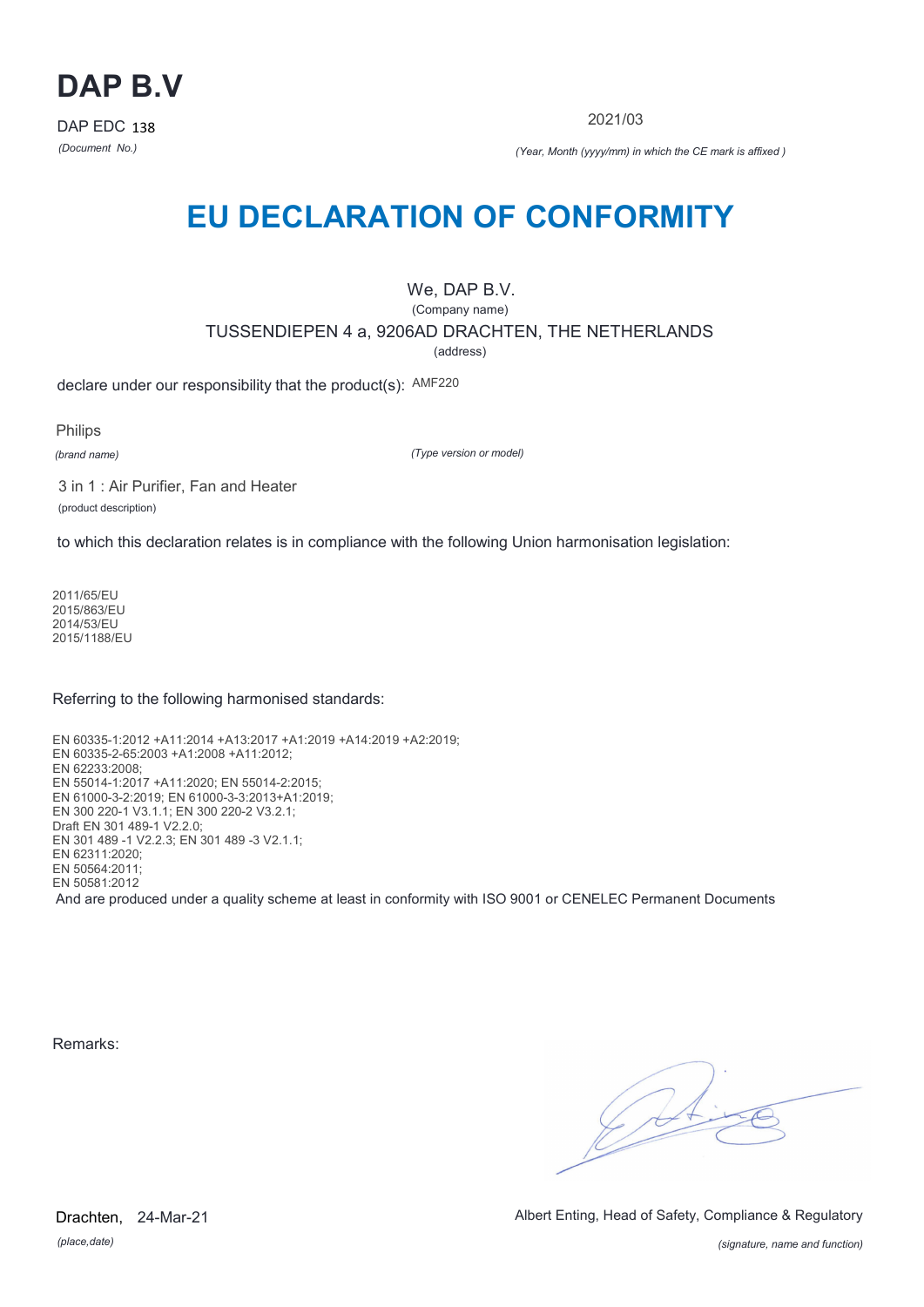

2021/03

*(Document No.) (Year, Month (yyyy/mm) in which the CE mark is affixed )*

# **EU DECLARATION OF CONFORMITY**

### We, DAP B.V.

(Company name)

TUSSENDIEPEN 4 a, 9206AD DRACHTEN, THE NETHERLANDS

(address)

declare under our responsibility that the product(s): AMF220

Philips

*(brand name)*

*(Type version or model)*

3 in 1 : Air Purifier, Fan and Heater (product description)

to which this declaration relates is in compliance with the following Union harmonisation legislation:

2011/65/EU 2015/863/EU 2014/53/EU 2015/1188/EU

Referring to the following harmonised standards:

EN 60335-1:2012 +A11:2014 +A13:2017 +A1:2019 +A14:2019 +A2:2019; EN 60335-2-65:2003 +A1:2008 +A11:2012; EN 62233:2008; EN 55014-1:2017 +A11:2020; EN 55014-2:2015; EN 61000-3-2:2019; EN 61000-3-3:2013+A1:2019; EN 300 220-1 V3.1.1; EN 300 220-2 V3.2.1; Draft EN 301 489-1 V2.2.0; EN 301 489 -1 V2.2.3; EN 301 489 -3 V2.1.1; EN 62311:2020; EN 50564:2011; EN 50581:2012 And are produced under a quality scheme at least in conformity with ISO 9001 or CENELEC Permanent Documents

Remarks:

 $\sqrt{14}$ 

*(place,date)* Drachten, 24-Mar-21 Albert Enting, Head of Safety, Compliance & Regulatory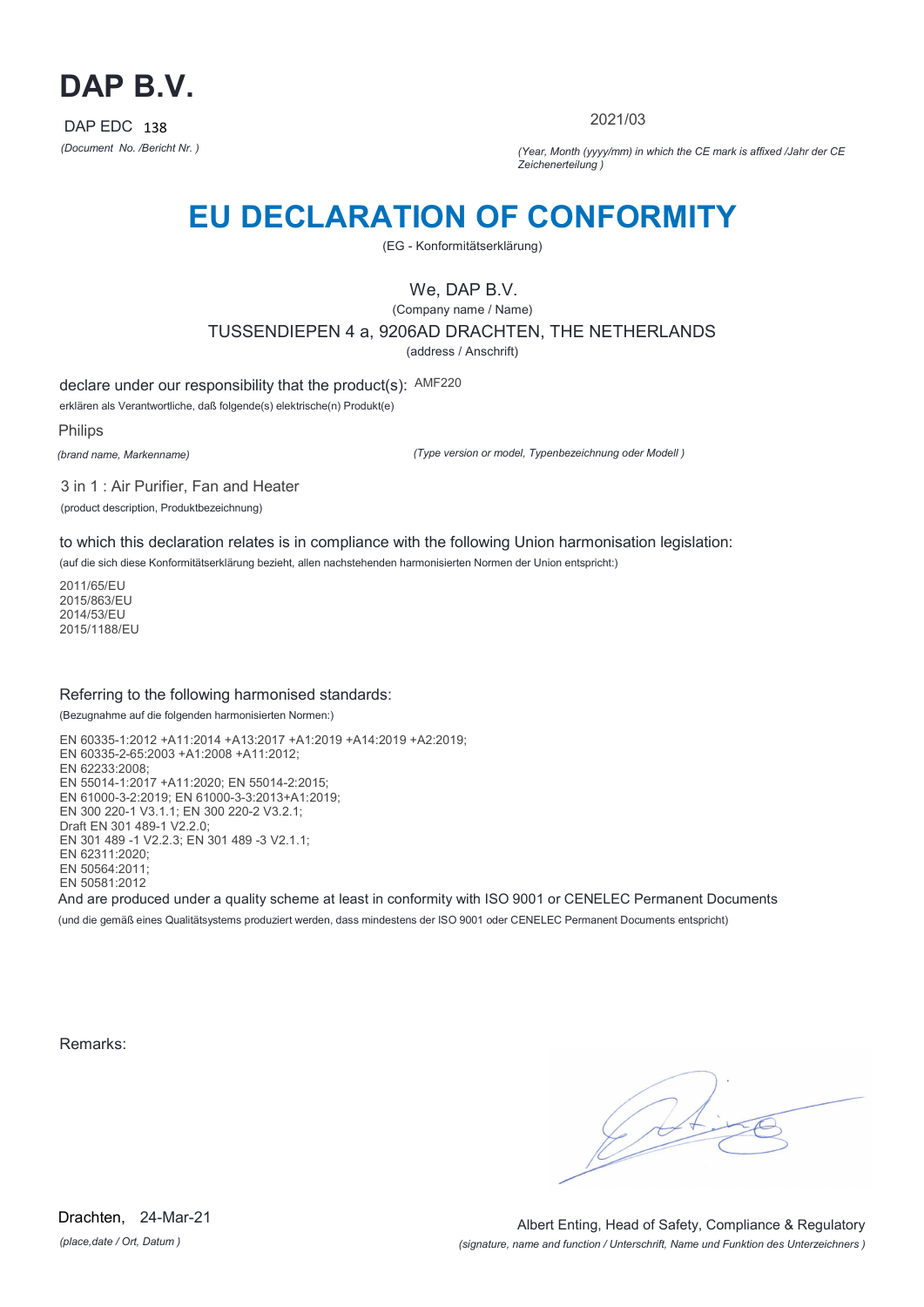

2021/03

*(Document No. /Bericht Nr. ) (Year, Month (yyyy/mm) in which the CE mark is affixed /Jahr der CE Zeichenerteilung )*

# **EU DECLARATION OF CONFORMITY**

(EG - Konformitätserklärung)

### We, DAP B.V.

(Company name / Name) TUSSENDIEPEN 4 a, 9206AD DRACHTEN, THE NETHERLANDS (address / Anschrift)

declare under our responsibility that the product(s): AMF220

erklären als Verantwortliche, daß folgende(s) elektrische(n) Produkt(e)

Philips

*(brand name, Markenname)*

*(Type version or model, Typenbezeichnung oder Modell )*

3 in 1 : Air Purifier, Fan and Heater (product description, Produktbezeichnung)

to which this declaration relates is in compliance with the following Union harmonisation legislation:

(auf die sich diese Konformitätserklärung bezieht, allen nachstehenden harmonisierten Normen der Union entspricht:)

2011/65/EU 2015/863/EU 2014/53/EU 2015/1188/EU

#### Referring to the following harmonised standards:

(Bezugnahme auf die folgenden harmonisierten Normen:)

EN 60335-1:2012 +A11:2014 +A13:2017 +A1:2019 +A14:2019 +A2:2019; EN 60335-2-65:2003 +A1:2008 +A11:2012; EN 62233:2008; EN 55014-1:2017 +A11:2020; EN 55014-2:2015; EN 61000-3-2:2019; EN 61000-3-3:2013+A1:2019; EN 300 220-1 V3.1.1; EN 300 220-2 V3.2.1; Draft EN 301 489-1 V2.2.0; EN 301 489 -1 V2.2.3; EN 301 489 -3 V2.1.1; EN 62311:2020; EN 50564:2011; EN 50581:2012 And are produced under a quality scheme at least in conformity with ISO 9001 or CENELEC Permanent Documents

(und die gemäß eines Qualitätsystems produziert werden, dass mindestens der ISO 9001 oder CENELEC Permanent Documents entspricht)

Remarks:

*(place,date / Ort, Datum )* Drachten, 24-Mar-21

*(signature, name and function / Unterschrift, Name und Funktion des Unterzeichners )* Albert Enting, Head of Safety, Compliance & Regulatory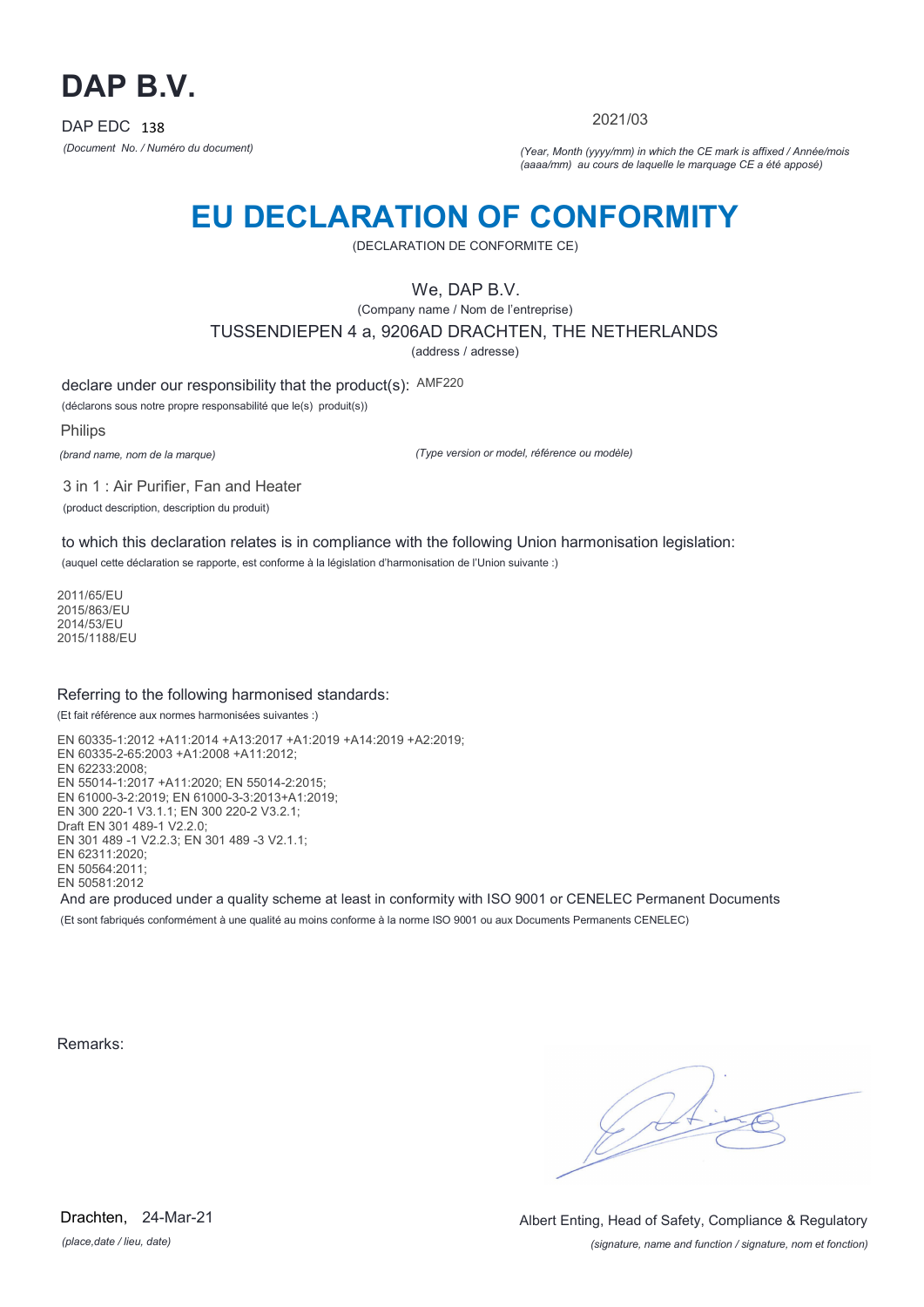

2021/03

*(Document No. / Numéro du document) (Year, Month (yyyy/mm) in which the CE mark is affixed / Année/mois (aaaa/mm) au cours de laquelle le marquage CE a été apposé)*

# **EU DECLARATION OF CONFORMITY**

(DECLARATION DE CONFORMITE CE)

We, DAP B.V.

(Company name / Nom de l'entreprise)

TUSSENDIEPEN 4 a, 9206AD DRACHTEN, THE NETHERLANDS

(address / adresse)

declare under our responsibility that the product(s): AMF220

(déclarons sous notre propre responsabilité que le(s) produit(s))

Philips

*(brand name, nom de la marque)*

*(Type version or model, référence ou modèle)*

3 in 1 : Air Purifier, Fan and Heater (product description, description du produit)

to which this declaration relates is in compliance with the following Union harmonisation legislation: (auquel cette déclaration se rapporte, est conforme à la législation d'harmonisation de l'Union suivante :)

2011/65/EU

2015/863/EU 2014/53/EU 2015/1188/EU

#### Referring to the following harmonised standards:

(Et fait référence aux normes harmonisées suivantes :)

EN 60335-1:2012 +A11:2014 +A13:2017 +A1:2019 +A14:2019 +A2:2019; EN 60335-2-65:2003 +A1:2008 +A11:2012; EN 62233:2008; EN 55014-1:2017 +A11:2020; EN 55014-2:2015; EN 61000-3-2:2019; EN 61000-3-3:2013+A1:2019; EN 300 220-1 V3.1.1; EN 300 220-2 V3.2.1; Draft EN 301 489-1 V2.2.0; EN 301 489 -1 V2.2.3; EN 301 489 -3 V2.1.1; EN 62311:2020; EN 50564:2011; EN 50581:2012 And are produced under a quality scheme at least in conformity with ISO 9001 or CENELEC Permanent Documents

(Et sont fabriqués conformément à une qualité au moins conforme à la norme ISO 9001 ou aux Documents Permanents CENELEC)

Remarks: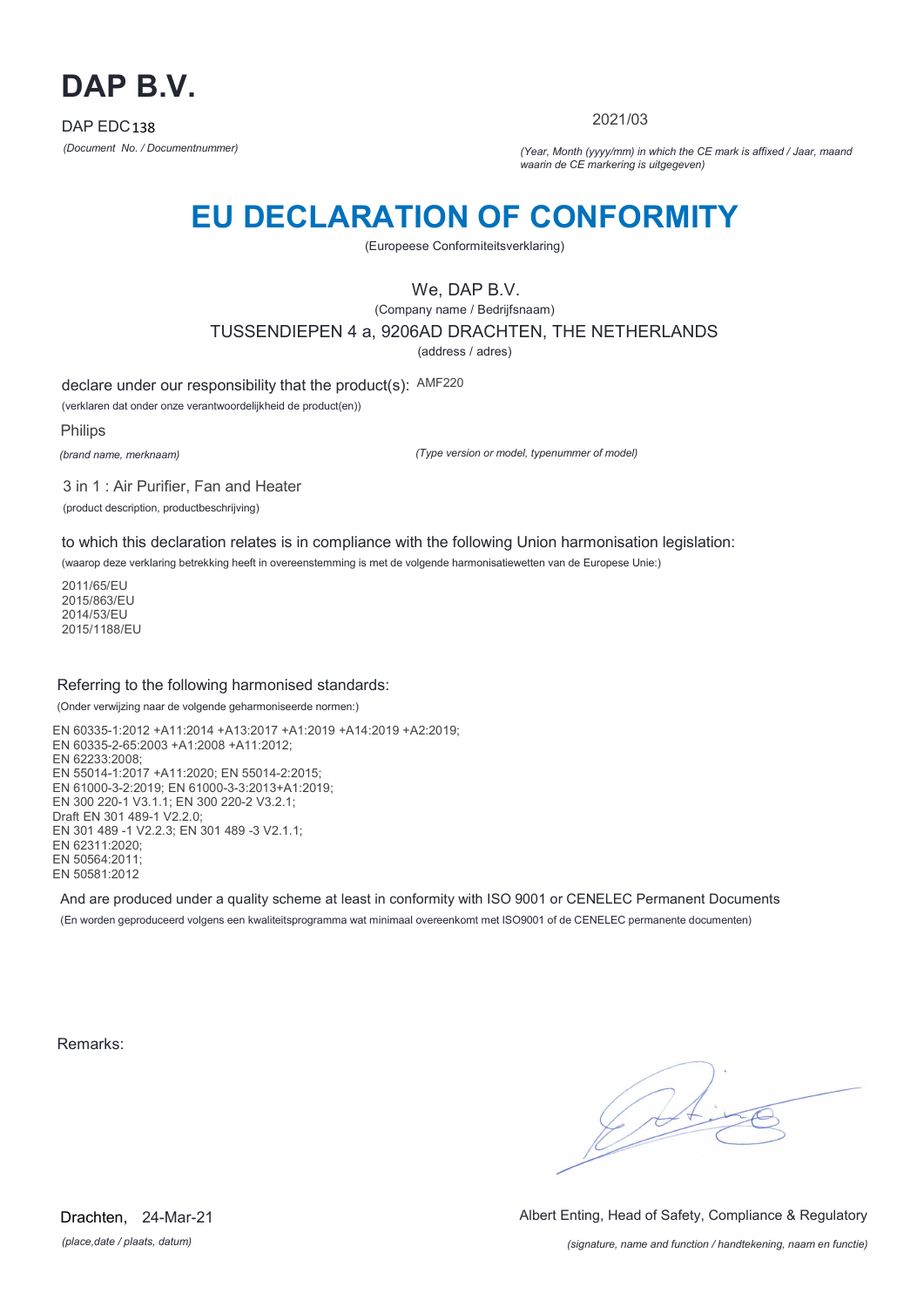

2021/03

*(Document No. / Documentnummer) (Year, Month (yyyy/mm) in which the CE mark is affixed / Jaar, maand waarin de CE markering is uitgegeven)*

# **EU DECLARATION OF CONFORMITY**

(Europeese Conformiteitsverklaring)

We, DAP B.V.

(Company name / Bedrijfsnaam) TUSSENDIEPEN 4 a, 9206AD DRACHTEN, THE NETHERLANDS (address / adres)

declare under our responsibility that the product(s): AMF220

(verklaren dat onder onze verantwoordelijkheid de product(en))

Philips

*(brand name, merknaam)*

*(Type version or model, typenummer of model)*

3 in 1 : Air Purifier, Fan and Heater (product description, productbeschrijving)

to which this declaration relates is in compliance with the following Union harmonisation legislation:

(waarop deze verklaring betrekking heeft in overeenstemming is met de volgende harmonisatiewetten van de Europese Unie:)

2011/65/EU 2015/863/EU 2014/53/EU 2015/1188/EU

#### Referring to the following harmonised standards:

(Onder verwijzing naar de volgende geharmoniseerde normen:)

EN 60335-1:2012 +A11:2014 +A13:2017 +A1:2019 +A14:2019 +A2:2019; EN 60335-2-65:2003 +A1:2008 +A11:2012; EN 62233:2008; EN 55014-1:2017 +A11:2020; EN 55014-2:2015; EN 61000-3-2:2019; EN 61000-3-3:2013+A1:2019; EN 300 220-1 V3.1.1; EN 300 220-2 V3.2.1; Draft EN 301 489-1  $V2.2.0$ ; EN 301 489 -1 V2.2.3; EN 301 489 -3 V2.1.1; EN 62311:2020; EN 50564:2011; EN 50581:2012

And are produced under a quality scheme at least in conformity with ISO 9001 or CENELEC Permanent Documents (En worden geproduceerd volgens een kwaliteitsprogramma wat minimaal overeenkomt met ISO9001 of de CENELEC permanente documenten)

Remarks:

 $\sqrt{1}$ 

*(place,date / plaats, datum)* Drachten, 24-Mar-21 Albert Enting, Head of Safety, Compliance & Regulatory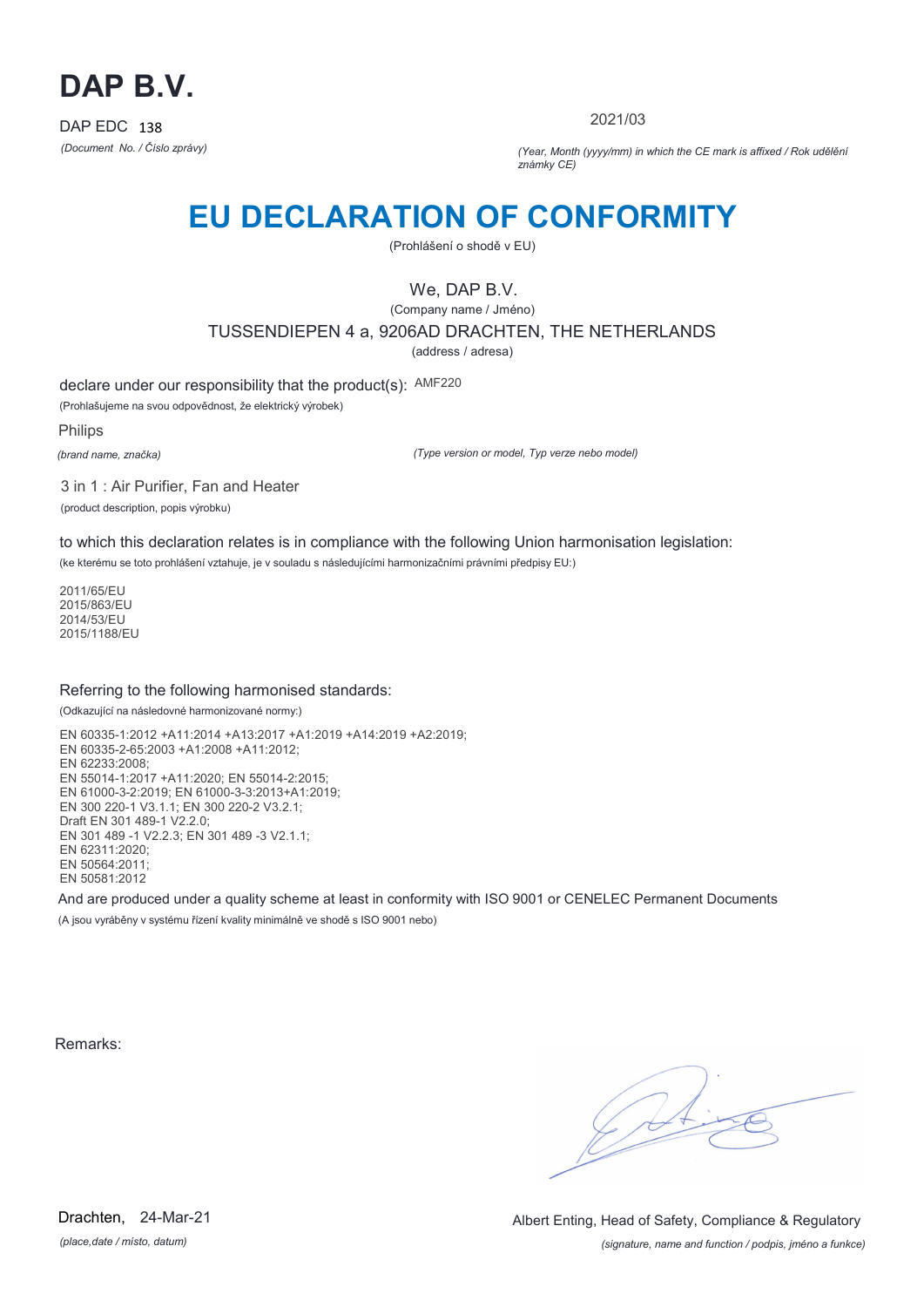

2021/03

*(Document No. / Číslo zprávy) (Year, Month (yyyy/mm) in which the CE mark is affixed / Rok udělění známky CE)*

# **EU DECLARATION OF CONFORMITY**

(Prohlášení o shodě v EU)

### We, DAP B.V.

(Company name / Jméno) TUSSENDIEPEN 4 a, 9206AD DRACHTEN, THE NETHERLANDS

(address / adresa)

declare under our responsibility that the product(s): AMF220

(Prohlašujeme na svou odpovědnost, že elektrický výrobek)

Philips

*(brand name, značka)*

*(Type version or model, Typ verze nebo model)*

3 in 1 : Air Purifier, Fan and Heater (product description, popis výrobku)

to which this declaration relates is in compliance with the following Union harmonisation legislation:

(ke kterému se toto prohlášení vztahuje, je v souladu s následujícími harmonizačními právními předpisy EU:)

2011/65/EU 2015/863/EU 2014/53/EU 2015/1188/EU

#### Referring to the following harmonised standards:

(Odkazující na následovné harmonizované normy:)

EN 60335-1:2012 +A11:2014 +A13:2017 +A1:2019 +A14:2019 +A2:2019; EN 60335-2-65:2003 +A1:2008 +A11:2012; EN 62233:2008; EN 55014-1:2017 +A11:2020; EN 55014-2:2015; EN 61000-3-2:2019; EN 61000-3-3:2013+A1:2019; EN 300 220-1 V3.1.1; EN 300 220-2 V3.2.1; Draft EN 301 489-1 V2.2.0; EN 301 489 -1 V2.2.3; EN 301 489 -3 V2.1.1; EN 62311:2020; EN 50564:2011; EN 50581:2012

And are produced under a quality scheme at least in conformity with ISO 9001 or CENELEC Permanent Documents (A jsou vyráběny v systému řízení kvality minimálně ve shodě s ISO 9001 nebo)

Remarks:

*(place,date / místo, datum)* Drachten, 24-Mar-21

*(signature, name and function / podpis, jméno a funkce)* Albert Enting, Head of Safety, Compliance & Regulatory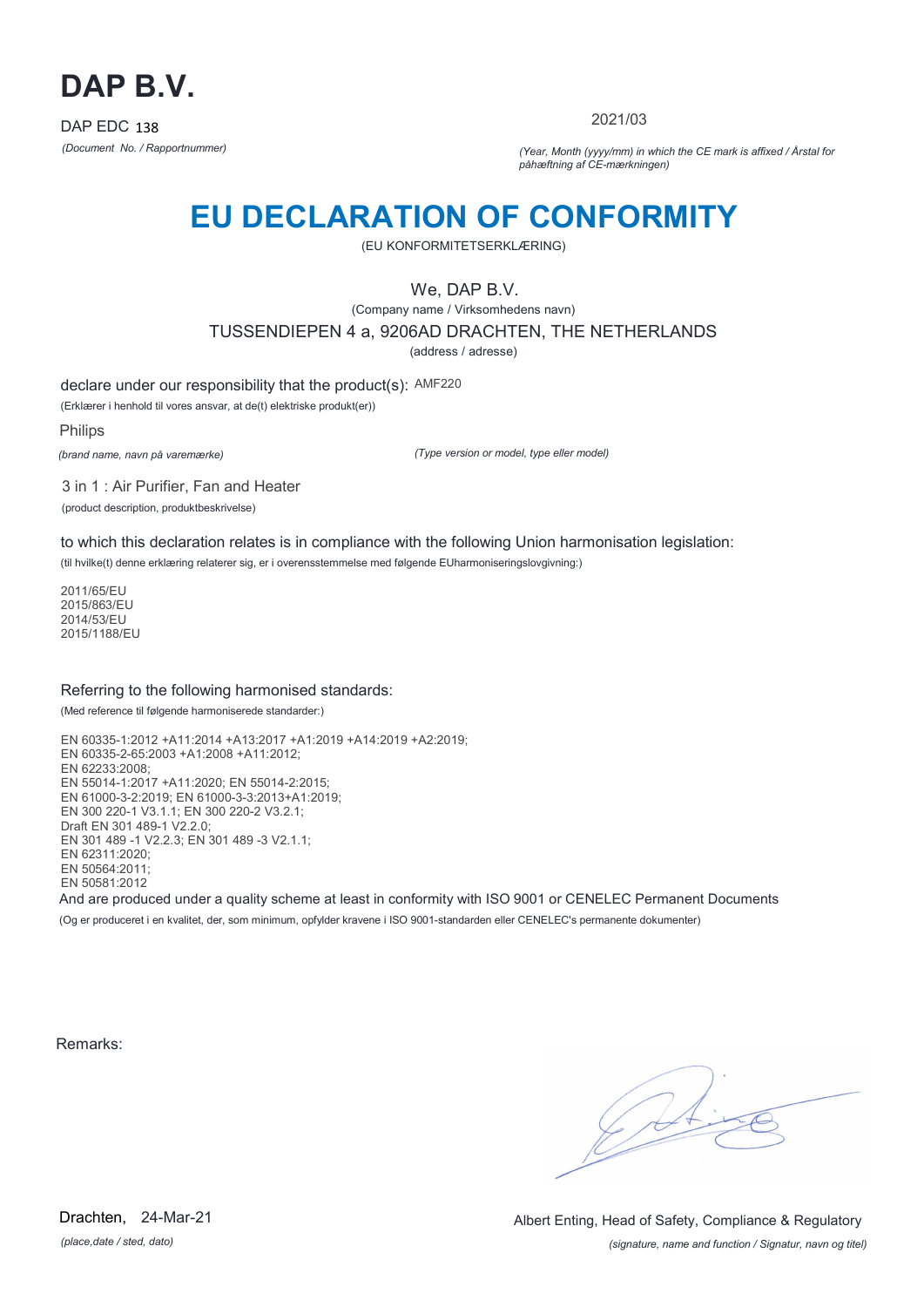

2021/03

*(Document No. / Rapportnummer) (Year, Month (yyyy/mm) in which the CE mark is affixed / Årstal for påhæftning af CE-mærkningen)*

# **EU DECLARATION OF CONFORMITY**

(EU KONFORMITETSERKLÆRING)

We, DAP B.V.

(Company name / Virksomhedens navn) TUSSENDIEPEN 4 a, 9206AD DRACHTEN, THE NETHERLANDS

(address / adresse)

declare under our responsibility that the product(s): AMF220

(Erklærer i henhold til vores ansvar, at de(t) elektriske produkt(er))

Philips

*(brand name, navn på varemærke)*

*(Type version or model, type eller model)*

3 in 1 : Air Purifier, Fan and Heater (product description, produktbeskrivelse)

to which this declaration relates is in compliance with the following Union harmonisation legislation:

(til hvilke(t) denne erklæring relaterer sig, er i overensstemmelse med følgende EUharmoniseringslovgivning:)

2011/65/EU 2015/863/EU 2014/53/EU 2015/1188/EU

#### Referring to the following harmonised standards:

(Med reference til følgende harmoniserede standarder:)

EN 60335-1:2012 +A11:2014 +A13:2017 +A1:2019 +A14:2019 +A2:2019; EN 60335-2-65:2003 +A1:2008 +A11:2012; EN 62233:2008; EN 55014-1:2017 +A11:2020; EN 55014-2:2015; EN 61000-3-2:2019; EN 61000-3-3:2013+A1:2019; EN 300 220-1 V3.1.1; EN 300 220-2 V3.2.1; Draft EN 301 489-1 V2.2.0; EN 301 489 -1 V2.2.3; EN 301 489 -3 V2.1.1; EN 62311:2020; EN 50564:2011; EN 50581:2012 And are produced under a quality scheme at least in conformity with ISO 9001 or CENELEC Permanent Documents

(Og er produceret i en kvalitet, der, som minimum, opfylder kravene i ISO 9001-standarden eller CENELEC's permanente dokumenter)

Remarks:

*(place,date / sted, dato)* Drachten. 24-Mar-21

*(signature, name and function / Signatur, navn og titel)* Albert Enting, Head of Safety, Compliance & Regulatory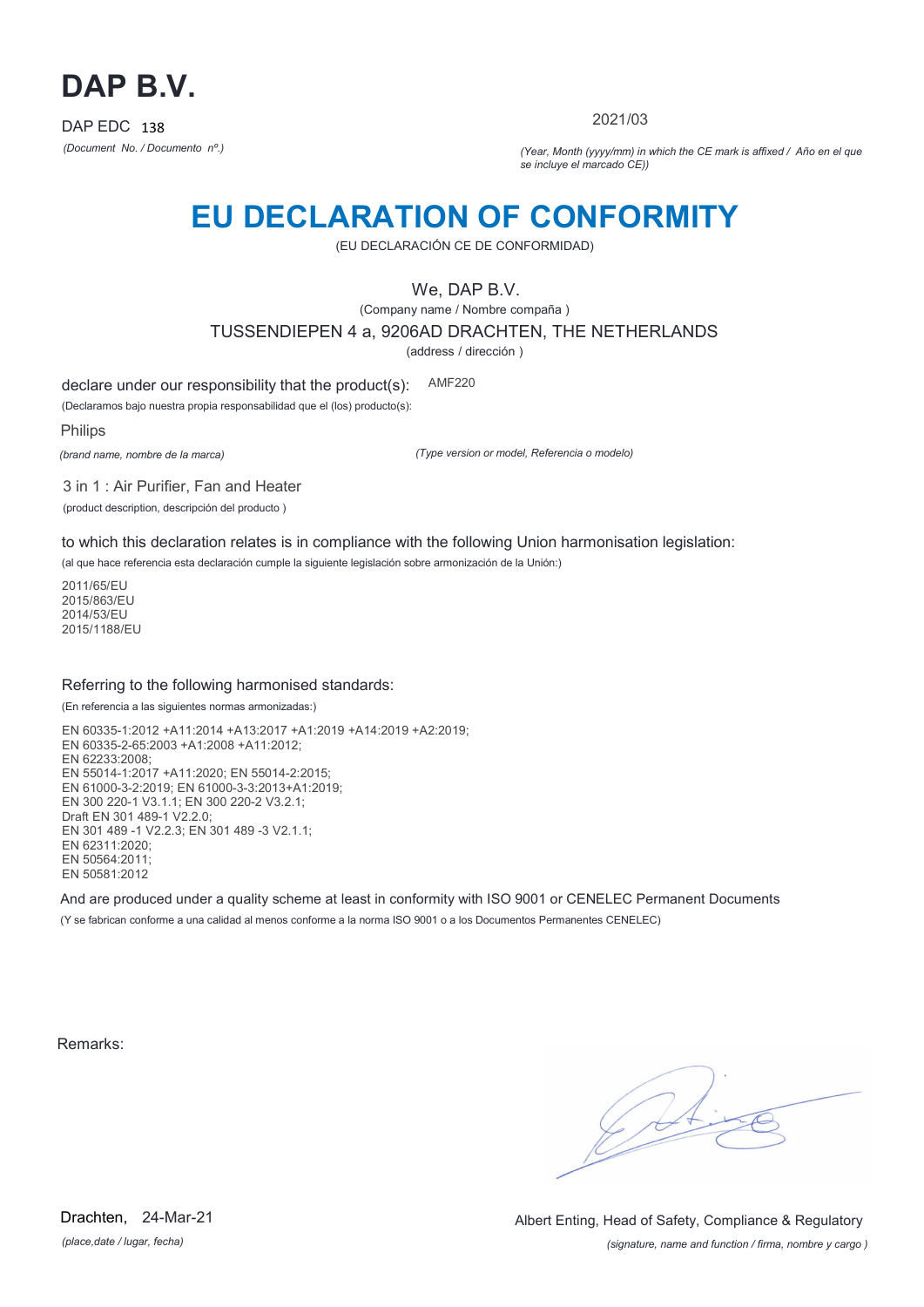

2021/03

*(Document No. / Documento nº.) (Year, Month (yyyy/mm) in which the CE mark is affixed / Año en el que se incluye el marcado CE))*

### **EU DECLARATION OF CONFORMITY**

(EU DECLARACIÓN CE DE CONFORMIDAD)

We, DAP B.V.

(Company name / Nombre compaña ) TUSSENDIEPEN 4 a, 9206AD DRACHTEN, THE NETHERLANDS

(address / dirección )

declare under our responsibility that the product(s): AMF220

(Declaramos bajo nuestra propia responsabilidad que el (los) producto(s):

Philips

*(brand name, nombre de la marca)*

*(Type version or model, Referencia o modelo)*

3 in 1 : Air Purifier, Fan and Heater (product description, descripción del producto )

to which this declaration relates is in compliance with the following Union harmonisation legislation:

(al que hace referencia esta declaración cumple la siguiente legislación sobre armonización de la Unión:)

2011/65/EU 2015/863/EU 2014/53/EU 2015/1188/EU

#### Referring to the following harmonised standards:

(En referencia a las siguientes normas armonizadas:)

EN 60335-1:2012 +A11:2014 +A13:2017 +A1:2019 +A14:2019 +A2:2019; EN 60335-2-65:2003 +A1:2008 +A11:2012; EN 62233:2008; EN 55014-1:2017 +A11:2020; EN 55014-2:2015; EN 61000-3-2:2019; EN 61000-3-3:2013+A1:2019; EN 300 220-1 V3.1.1; EN 300 220-2 V3.2.1; Draft EN 301 489-1 V2.2.0; EN 301 489 -1 V2.2.3; EN 301 489 -3 V2.1.1; EN 62311:2020; EN 50564:2011; EN 50581:2012

And are produced under a quality scheme at least in conformity with ISO 9001 or CENELEC Permanent Documents (Y se fabrican conforme a una calidad al menos conforme a la norma ISO 9001 o a los Documentos Permanentes CENELEC)

Remarks:

*(place,date / lugar, fecha)* Drachten, 24-Mar-21

*(signature, name and function / firma, nombre y cargo )* Albert Enting, Head of Safety, Compliance & Regulatory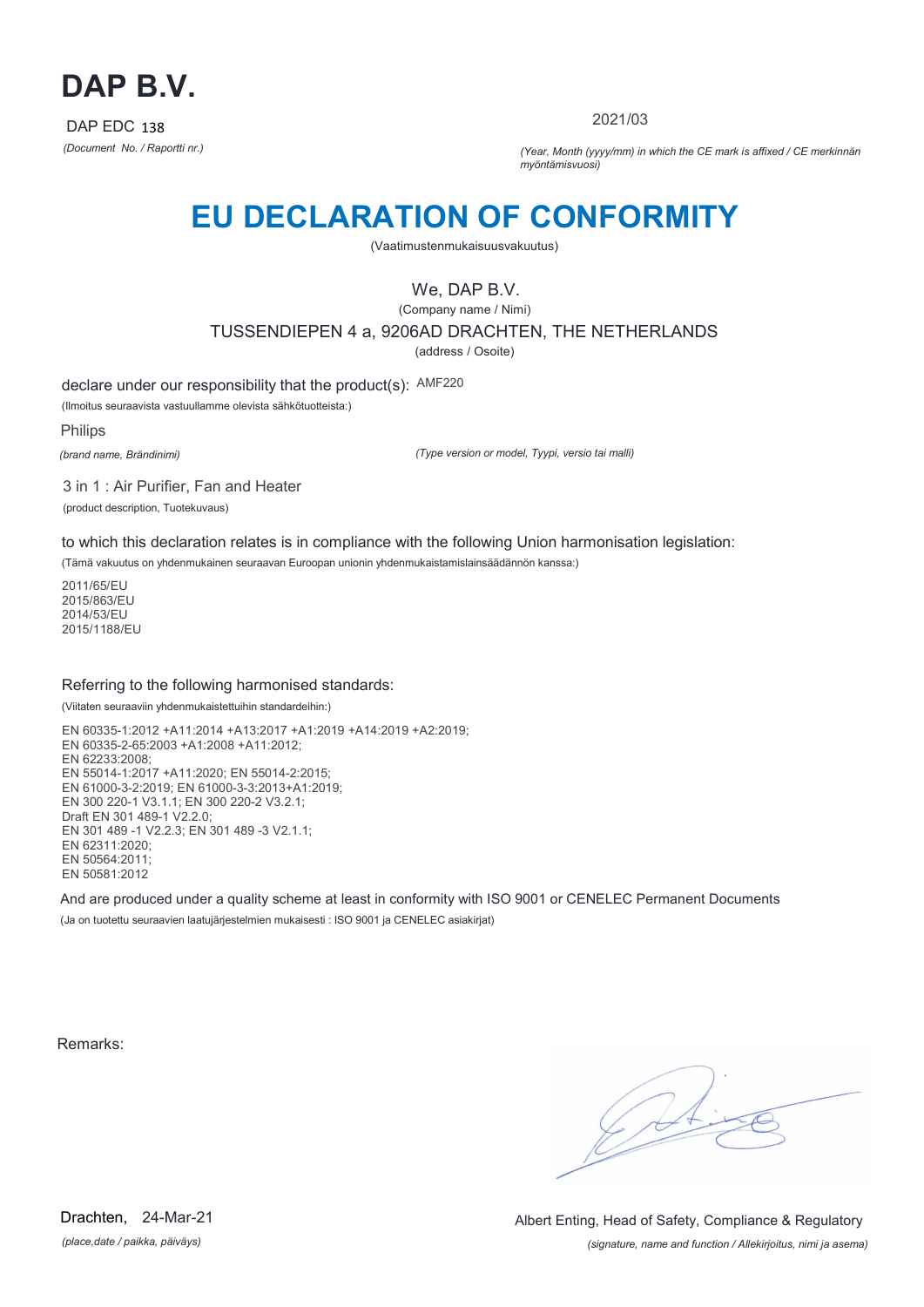

2021/03

*(Document No. / Raportti nr.) (Year, Month (yyyy/mm) in which the CE mark is affixed / CE merkinnän myöntämisvuosi)*

# **EU DECLARATION OF CONFORMITY**

(Vaatimustenmukaisuusvakuutus)

We, DAP B.V.

(Company name / Nimi) TUSSENDIEPEN 4 a, 9206AD DRACHTEN, THE NETHERLANDS (address / Osoite)

declare under our responsibility that the product(s): AMF220

(Ilmoitus seuraavista vastuullamme olevista sähkötuotteista:)

Philips

*(brand name, Brändinimi)*

*(Type version or model, Tyypi, versio tai malli)*

3 in 1 : Air Purifier, Fan and Heater

(product description, Tuotekuvaus)

to which this declaration relates is in compliance with the following Union harmonisation legislation:

(Tämä vakuutus on yhdenmukainen seuraavan Euroopan unionin yhdenmukaistamislainsäädännön kanssa:)

2011/65/EU 2015/863/EU 2014/53/EU 2015/1188/EU

#### Referring to the following harmonised standards:

(Viitaten seuraaviin yhdenmukaistettuihin standardeihin:)

EN 60335-1:2012 +A11:2014 +A13:2017 +A1:2019 +A14:2019 +A2:2019; EN 60335-2-65:2003 +A1:2008 +A11:2012; EN 62233:2008; EN 55014-1:2017 +A11:2020; EN 55014-2:2015; EN 61000-3-2:2019; EN 61000-3-3:2013+A1:2019; EN 300 220-1 V3.1.1; EN 300 220-2 V3.2.1; Draft EN 301 489-1 V2.2.0; EN 301 489 -1 V2.2.3; EN 301 489 -3 V2.1.1; EN 62311:2020; EN 50564:2011; EN 50581:2012

And are produced under a quality scheme at least in conformity with ISO 9001 or CENELEC Permanent Documents (Ja on tuotettu seuraavien laatujärjestelmien mukaisesti : ISO 9001 ja CENELEC asiakirjat)

Remarks:

 $\sqrt{4}$ 

*(place,date / paikka, päiväys)* Drachten, 24-Mar-21

*(signature, name and function / Allekirjoitus, nimi ja asema)* Albert Enting, Head of Safety, Compliance & Regulatory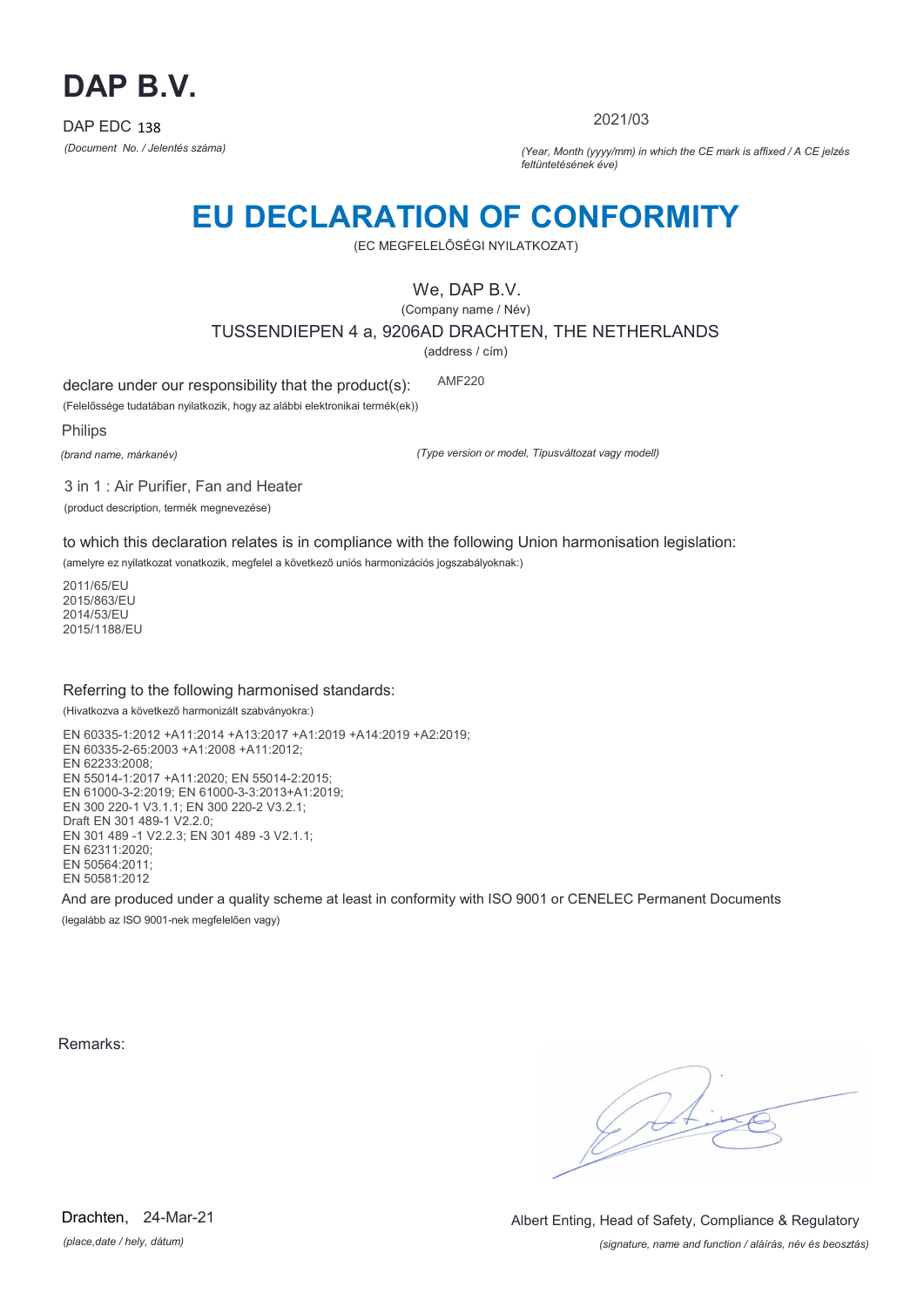

2021/03

*(Document No. / Jelentés száma) (Year, Month (yyyy/mm) in which the CE mark is affixed / A CE jelzés feltüntetésének éve)*

# **EU DECLARATION OF CONFORMITY**

(EC MEGFELELŐSÉGI NYILATKOZAT)

We, DAP B.V.

(Company name / Név) TUSSENDIEPEN 4 a, 9206AD DRACHTEN, THE NETHERLANDS

(address / cím)

declare under our responsibility that the product(s): AMF220

(Felelőssége tudatában nyilatkozik, hogy az alábbi elektronikai termék(ek))

Philips

*(brand name, márkanév)*

*(Type version or model, Típusváltozat vagy modell)*

3 in 1 : Air Purifier, Fan and Heater

(product description, termék megnevezése)

to which this declaration relates is in compliance with the following Union harmonisation legislation:

(amelyre ez nyilatkozat vonatkozik, megfelel a következő uniós harmonizációs jogszabályoknak:)

2011/65/EU 2015/863/EU 2014/53/EU 2015/1188/EU

### Referring to the following harmonised standards:

(Hivatkozva a következő harmonizált szabványokra:)

EN 60335-1:2012 +A11:2014 +A13:2017 +A1:2019 +A14:2019 +A2:2019; EN 60335-2-65:2003 +A1:2008 +A11:2012; EN 62233:2008; EN 55014-1:2017 +A11:2020; EN 55014-2:2015; EN 61000-3-2:2019; EN 61000-3-3:2013+A1:2019; EN 300 220-1 V3.1.1; EN 300 220-2 V3.2.1; Draft EN 301 489-1 V2.2.0; EN 301 489 -1 V2.2.3; EN 301 489 -3 V2.1.1; EN 62311:2020; EN 50564:2011; EN 50581:2012

And are produced under a quality scheme at least in conformity with ISO 9001 or CENELEC Permanent Documents

(legalább az ISO 9001-nek megfelelően vagy)

Remarks:

 $\sqrt{1}$ 

*(place,date / hely, dátum)* Drachten, 24-Mar-21

*(signature, name and function / aláírás, név és beosztás)* Albert Enting, Head of Safety, Compliance & Regulatory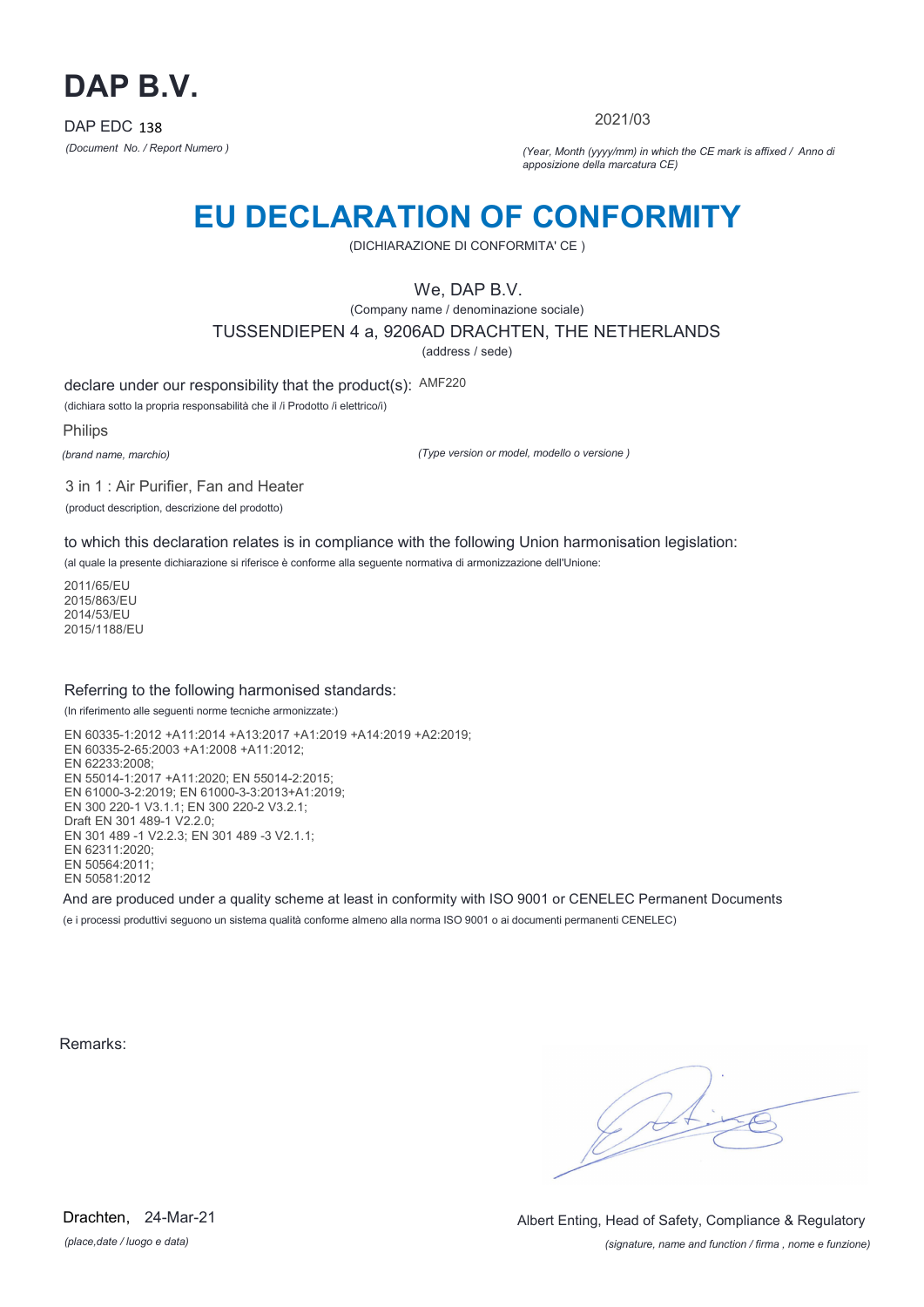

2021/03

*(Document No. / Report Numero ) (Year, Month (yyyy/mm) in which the CE mark is affixed / Anno di apposizione della marcatura CE)*

### **EU DECLARATION OF CONFORMITY**

(DICHIARAZIONE DI CONFORMITA' CE )

We, DAP B.V.

(Company name / denominazione sociale)

TUSSENDIEPEN 4 a, 9206AD DRACHTEN, THE NETHERLANDS

(address / sede)

declare under our responsibility that the product(s): AMF220

(dichiara sotto la propria responsabilità che il /i Prodotto /i elettrico/i)

Philips

*(brand name, marchio)*

*(Type version or model, modello o versione )*

3 in 1 : Air Purifier, Fan and Heater (product description, descrizione del prodotto)

to which this declaration relates is in compliance with the following Union harmonisation legislation:

(al quale la presente dichiarazione si riferisce è conforme alla seguente normativa di armonizzazione dell'Unione:

2011/65/EU 2015/863/EU 2014/53/EU 2015/1188/EU

#### Referring to the following harmonised standards:

(In riferimento alle seguenti norme tecniche armonizzate:)

EN 60335-1:2012 +A11:2014 +A13:2017 +A1:2019 +A14:2019 +A2:2019; EN 60335-2-65:2003 +A1:2008 +A11:2012; EN 62233:2008; EN 55014-1:2017 +A11:2020; EN 55014-2:2015; EN 61000-3-2:2019; EN 61000-3-3:2013+A1:2019; EN 300 220-1 V3.1.1; EN 300 220-2 V3.2.1; Draft EN 301 489-1 V2.2.0; EN 301 489 -1 V2.2.3; EN 301 489 -3 V2.1.1; EN 62311:2020; EN 50564:2011; EN 50581:2012

And are produced under a quality scheme at least in conformity with ISO 9001 or CENELEC Permanent Documents

(e i processi produttivi seguono un sistema qualità conforme almeno alla norma ISO 9001 o ai documenti permanenti CENELEC)

Remarks:

 $\sqrt{1}$ 

*(place,date / luogo e data)* Drachten, 24-Mar-21

*(signature, name and function / firma , nome e funzione)* Albert Enting, Head of Safety, Compliance & Regulatory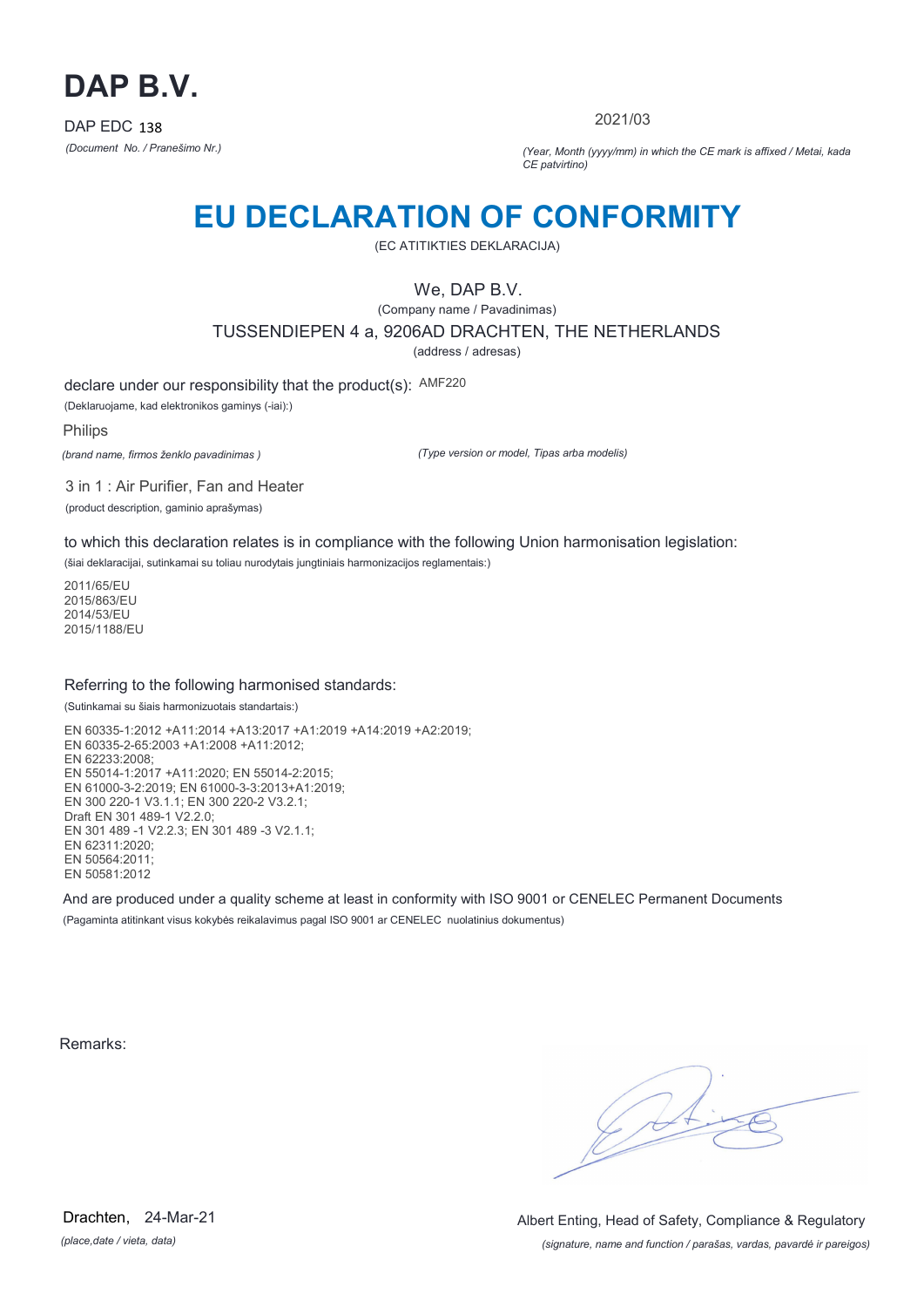

2021/03

*(Document No. / Pranešimo Nr.) (Year, Month (yyyy/mm) in which the CE mark is affixed / Metai, kada CE patvirtino)*

### **EU DECLARATION OF CONFORMITY**

(EC ATITIKTIES DEKLARACIJA)

We, DAP B.V.

(Company name / Pavadinimas) TUSSENDIEPEN 4 a, 9206AD DRACHTEN, THE NETHERLANDS

(address / adresas)

declare under our responsibility that the product(s): AMF220

(Deklaruojame, kad elektronikos gaminys (-iai):)

Philips

*(brand name, firmos ženklo pavadinimas )*

*(Type version or model, Tipas arba modelis)*

3 in 1 : Air Purifier, Fan and Heater (product description, gaminio aprašymas)

to which this declaration relates is in compliance with the following Union harmonisation legislation:

(šiai deklaracijai, sutinkamai su toliau nurodytais jungtiniais harmonizacijos reglamentais:)

2011/65/EU 2015/863/EU 2014/53/EU 2015/1188/EU

#### Referring to the following harmonised standards:

(Sutinkamai su šiais harmonizuotais standartais:)

EN 60335-1:2012 +A11:2014 +A13:2017 +A1:2019 +A14:2019 +A2:2019; EN 60335-2-65:2003 +A1:2008 +A11:2012; EN 62233:2008; EN 55014-1:2017 +A11:2020; EN 55014-2:2015; EN 61000-3-2:2019; EN 61000-3-3:2013+A1:2019; EN 300 220-1 V3.1.1; EN 300 220-2 V3.2.1; Draft EN 301 489-1 V2.2.0; EN 301 489 -1 V2.2.3; EN 301 489 -3 V2.1.1; EN 62311:2020; EN 50564:2011; EN 50581:2012

And are produced under a quality scheme at least in conformity with ISO 9001 or CENELEC Permanent Documents (Pagaminta atitinkant visus kokybės reikalavimus pagal ISO 9001 ar CENELEC nuolatinius dokumentus)

Remarks:

 $\sqrt{11}$ 

*(place,date / vieta, data)* Drachten, 24-Mar-21

*(signature, name and function / parašas, vardas, pavardė ir pareigos)* Albert Enting, Head of Safety, Compliance & Regulatory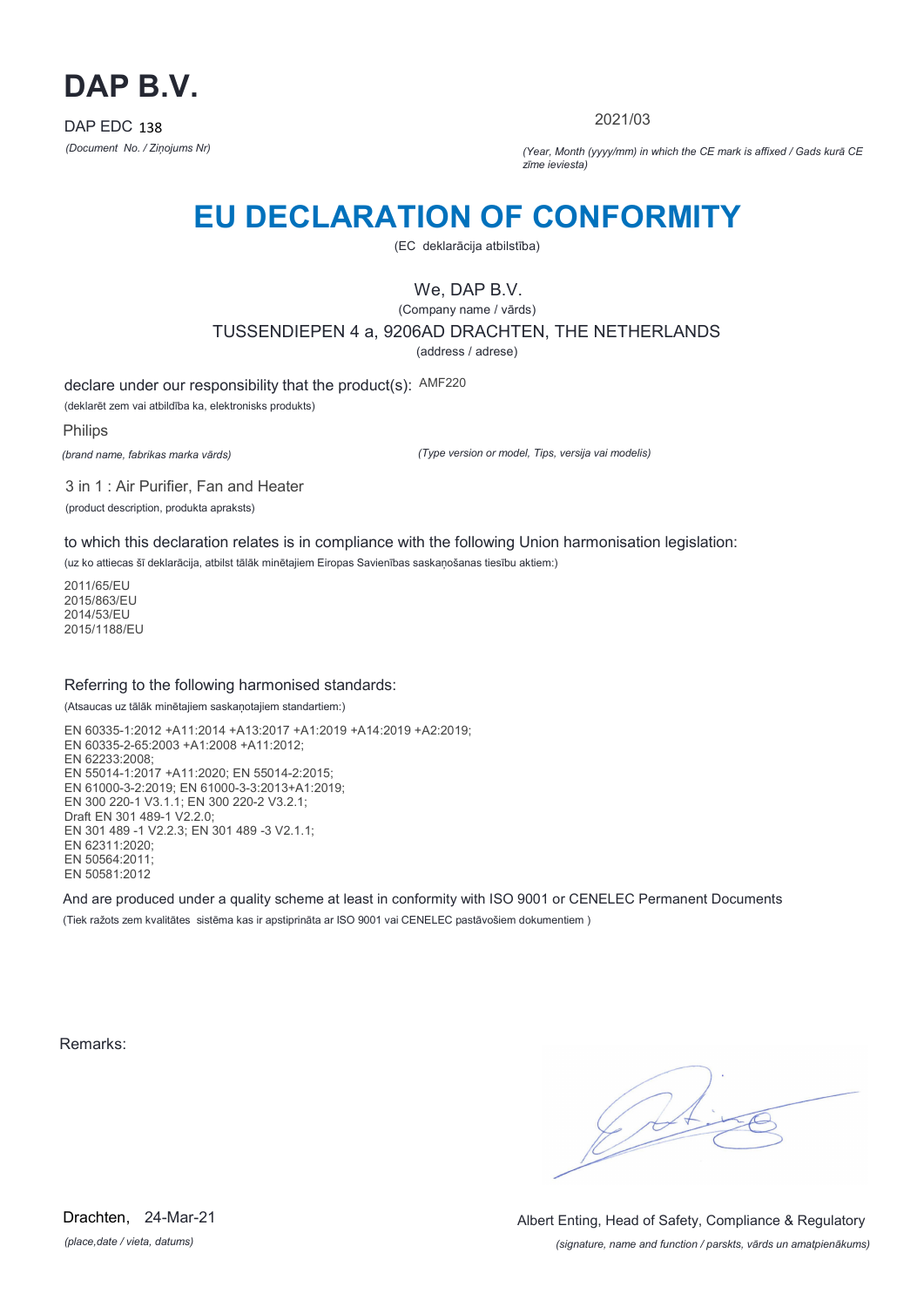

2021/03

*(Document No. / Ziņojums Nr) (Year, Month (yyyy/mm) in which the CE mark is affixed / Gads kurā CE zīme ieviesta)*

### **EU DECLARATION OF CONFORMITY**

(EC deklarācija atbilstība)

We, DAP B.V.

(Company name / vārds) TUSSENDIEPEN 4 a, 9206AD DRACHTEN, THE NETHERLANDS

(address / adrese)

declare under our responsibility that the product(s): AMF220

(deklarēt zem vai atbildība ka, elektronisks produkts)

Philips

*(brand name, fabrikas marka vārds)*

*(Type version or model, Tips, versija vai modelis)*

3 in 1 : Air Purifier, Fan and Heater (product description, produkta apraksts)

to which this declaration relates is in compliance with the following Union harmonisation legislation:

(uz ko attiecas šī deklarācija, atbilst tālāk minētajiem Eiropas Savienības saskaņošanas tiesību aktiem:)

2011/65/EU 2015/863/EU 2014/53/EU 2015/1188/EU

#### Referring to the following harmonised standards:

(Atsaucas uz tālāk minētajiem saskaņotajiem standartiem:)

EN 60335-1:2012 +A11:2014 +A13:2017 +A1:2019 +A14:2019 +A2:2019; EN 60335-2-65:2003 +A1:2008 +A11:2012; EN 62233:2008; EN 55014-1:2017 +A11:2020; EN 55014-2:2015; EN 61000-3-2:2019; EN 61000-3-3:2013+A1:2019; EN 300 220-1 V3.1.1; EN 300 220-2 V3.2.1; Draft EN 301 489-1 V2.2.0; EN 301 489 -1 V2.2.3; EN 301 489 -3 V2.1.1; EN 62311:2020; EN 50564:2011; EN 50581:2012

And are produced under a quality scheme at least in conformity with ISO 9001 or CENELEC Permanent Documents (Tiek ražots zem kvalitātes sistēma kas ir apstiprināta ar ISO 9001 vai CENELEC pastāvošiem dokumentiem )

Remarks:

 $\sqrt{1}$ 

*(place,date / vieta, datums)* Drachten, 24-Mar-21

*(signature, name and function / parskts, vārds un amatpienākums)* Albert Enting, Head of Safety, Compliance & Regulatory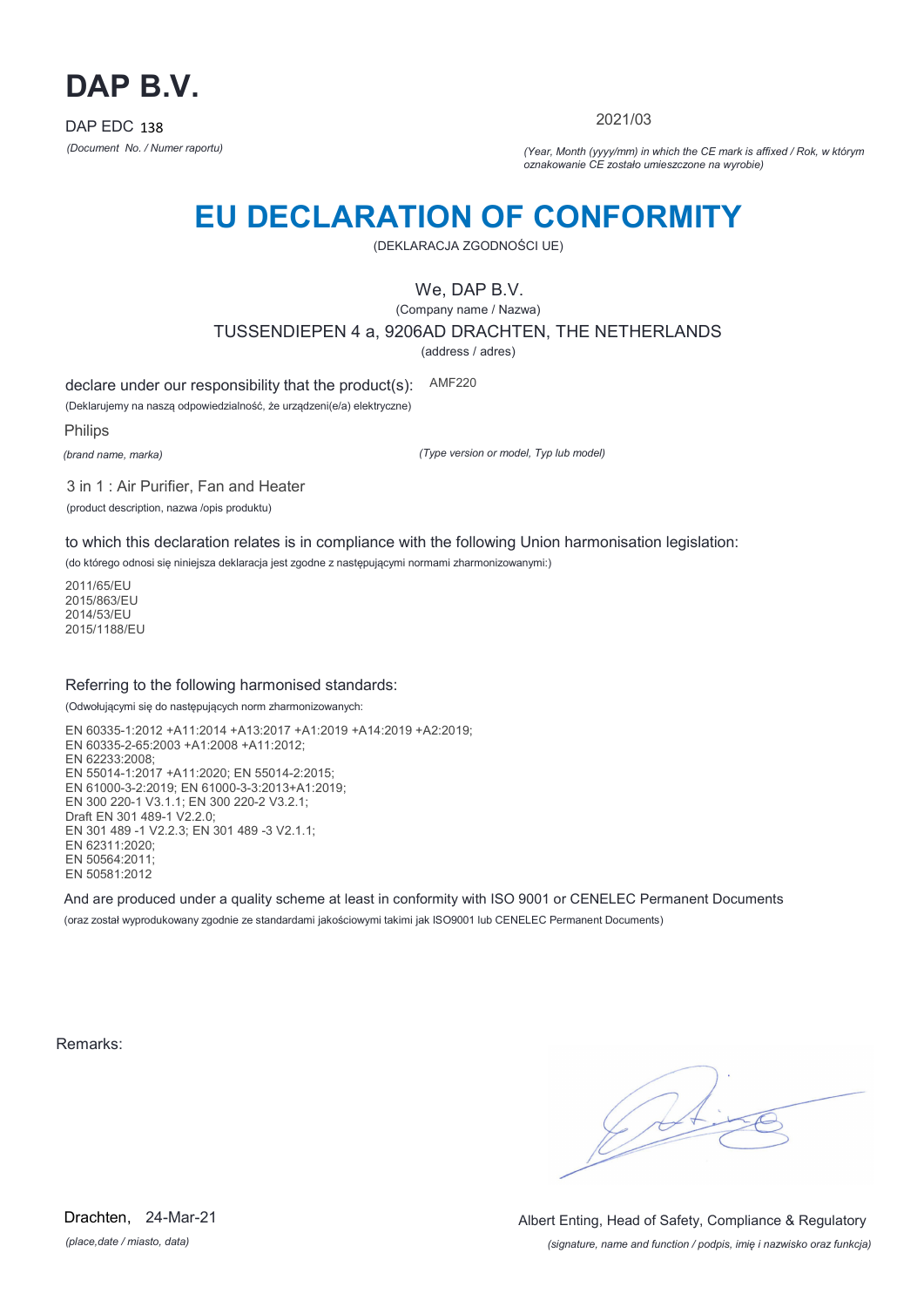

2021/03

*(Document No. / Numer raportu) (Year, Month (yyyy/mm) in which the CE mark is affixed / Rok, w którym oznakowanie CE zostało umieszczone na wyrobie)*

# **EU DECLARATION OF CONFORMITY**

(DEKLARACJA ZGODNOŚCI UE)

We, DAP B.V.

(Company name / Nazwa) TUSSENDIEPEN 4 a, 9206AD DRACHTEN, THE NETHERLANDS

(address / adres)

declare under our responsibility that the product(s): AMF220

(Deklarujemy na naszą odpowiedzialność, że urządzeni(e/a) elektryczne)

Philips

*(brand name, marka)*

*(Type version or model, Typ lub model)*

3 in 1 : Air Purifier, Fan and Heater

(product description, nazwa /opis produktu)

to which this declaration relates is in compliance with the following Union harmonisation legislation:

(do którego odnosi się niniejsza deklaracja jest zgodne z następującymi normami zharmonizowanymi:)

2011/65/EU 2015/863/EU 2014/53/EU 2015/1188/EU

#### Referring to the following harmonised standards:

(Odwołującymi się do następujących norm zharmonizowanych:

EN 60335-1:2012 +A11:2014 +A13:2017 +A1:2019 +A14:2019 +A2:2019; EN 60335-2-65:2003 +A1:2008 +A11:2012; EN 62233:2008; EN 55014-1:2017 +A11:2020; EN 55014-2:2015; EN 61000-3-2:2019; EN 61000-3-3:2013+A1:2019; EN 300 220-1 V3.1.1; EN 300 220-2 V3.2.1; Draft EN 301 489-1 V2.2.0; EN 301 489 -1 V2.2.3; EN 301 489 -3 V2.1.1; EN 62311:2020; EN 50564:2011; EN 50581:2012

And are produced under a quality scheme at least in conformity with ISO 9001 or CENELEC Permanent Documents (oraz został wyprodukowany zgodnie ze standardami jakościowymi takimi jak ISO9001 lub CENELEC Permanent Documents)

Remarks:

*(place,date / miasto, data)* Drachten, 24-Mar-21

*(signature, name and function / podpis, imię i nazwisko oraz funkcja)* Albert Enting, Head of Safety, Compliance & Regulatory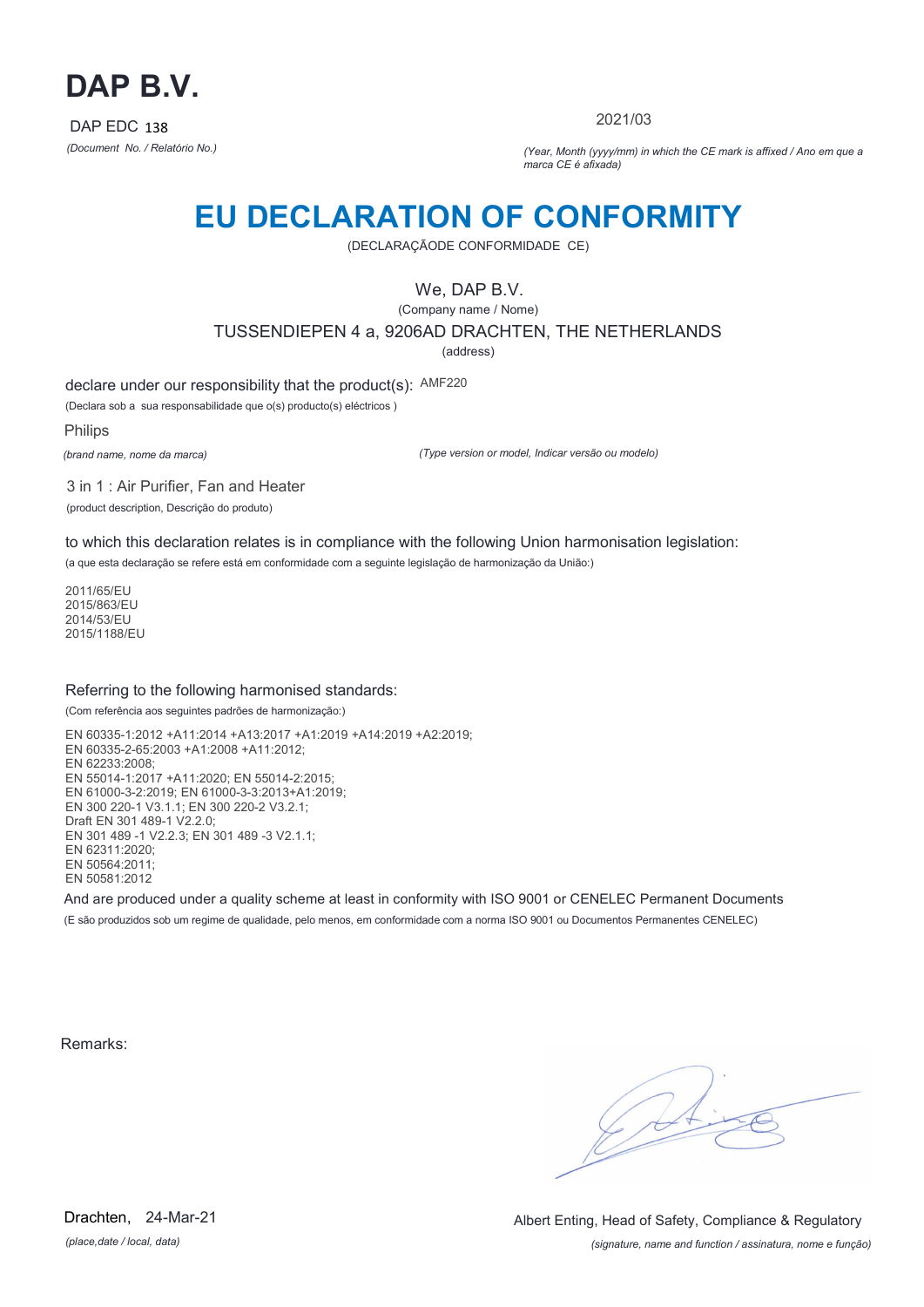

2021/03

*(Document No. / Relatório No.) (Year, Month (yyyy/mm) in which the CE mark is affixed / Ano em que a marca CE é afixada)*

### **EU DECLARATION OF CONFORMITY**

(DECLARAÇÃODE CONFORMIDADE CE)

We, DAP B.V.

(Company name / Nome) TUSSENDIEPEN 4 a, 9206AD DRACHTEN, THE NETHERLANDS (address)

declare under our responsibility that the product(s): AMF220

(Declara sob a sua responsabilidade que o(s) producto(s) eléctricos )

Philips

*(brand name, nome da marca)*

*(Type version or model, Indicar versão ou modelo)*

3 in 1 : Air Purifier, Fan and Heater (product description, Descrição do produto)

to which this declaration relates is in compliance with the following Union harmonisation legislation:

(a que esta declaração se refere está em conformidade com a seguinte legislação de harmonização da União:)

2011/65/EU 2015/863/EU 2014/53/EU 2015/1188/EU

#### Referring to the following harmonised standards:

(Com referência aos seguintes padrões de harmonização:)

EN 60335-1:2012 +A11:2014 +A13:2017 +A1:2019 +A14:2019 +A2:2019; EN 60335-2-65:2003 +A1:2008 +A11:2012; EN 62233:2008; EN 55014-1:2017 +A11:2020; EN 55014-2:2015; EN 61000-3-2:2019; EN 61000-3-3:2013+A1:2019; EN 300 220-1 V3.1.1; EN 300 220-2 V3.2.1; Draft EN 301 489-1 V2.2.0; EN 301 489 -1 V2.2.3; EN 301 489 -3 V2.1.1; EN 62311:2020; EN 50564:2011; EN 50581:2012

And are produced under a quality scheme at least in conformity with ISO 9001 or CENELEC Permanent Documents (E são produzidos sob um regime de qualidade, pelo menos, em conformidade com a norma ISO 9001 ou Documentos Permanentes CENELEC)

Remarks:

*(place,date / local, data)* Drachten, 24-Mar-21

*(signature, name and function / assinatura, nome e função)* Albert Enting, Head of Safety, Compliance & Regulatory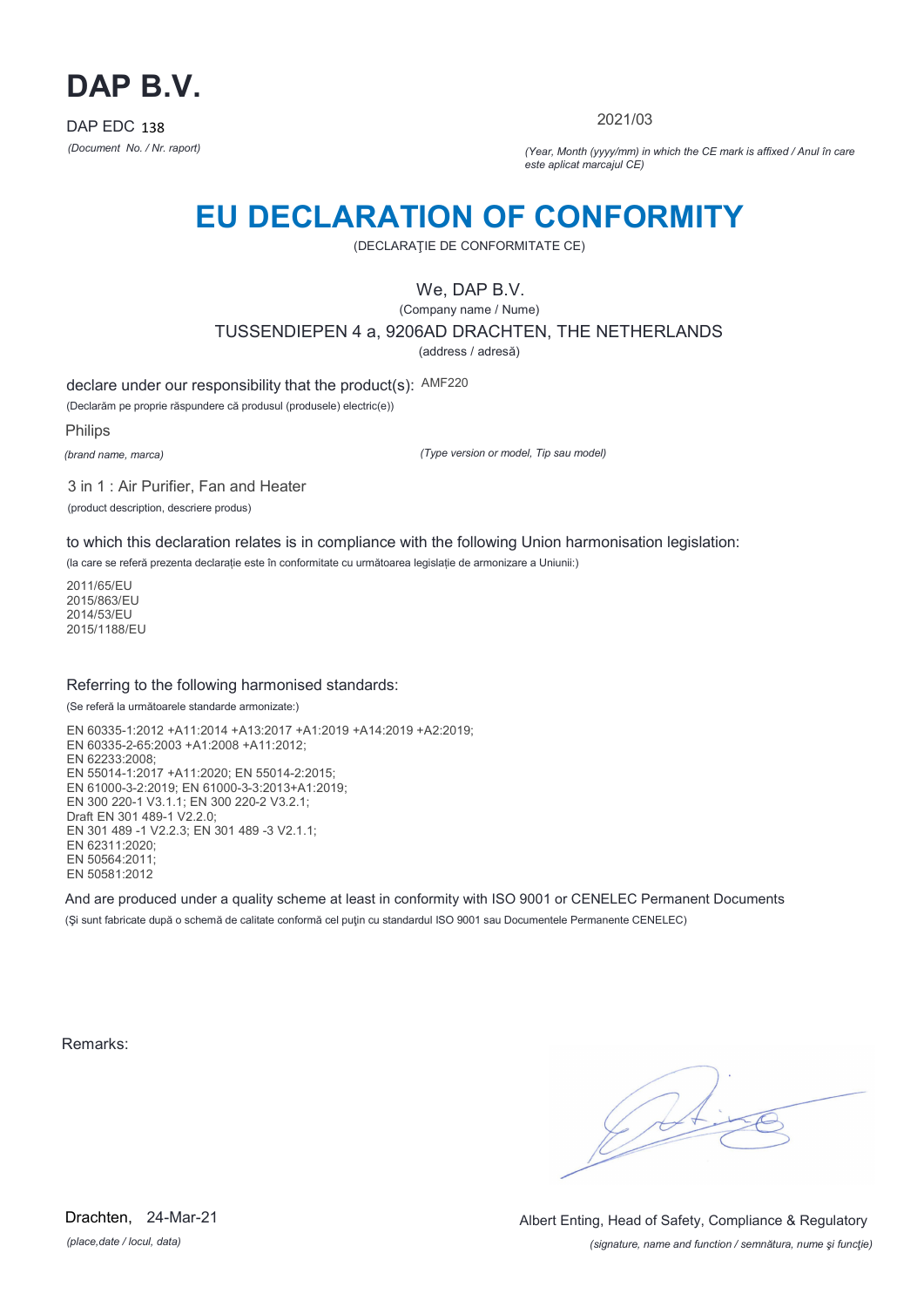

2021/03

*(Document No. / Nr. raport) (Year, Month (yyyy/mm) in which the CE mark is affixed / Anul în care este aplicat marcajul CE)*

### **EU DECLARATION OF CONFORMITY**

(DECLARAŢIE DE CONFORMITATE CE)

We, DAP B.V.

(Company name / Nume) TUSSENDIEPEN 4 a, 9206AD DRACHTEN, THE NETHERLANDS

(address / adresă)

declare under our responsibility that the product(s): AMF220

(Declarăm pe proprie răspundere că produsul (produsele) electric(e))

Philips

*(brand name, marca)*

*(Type version or model, Tip sau model)*

3 in 1 : Air Purifier, Fan and Heater (product description, descriere produs)

to which this declaration relates is in compliance with the following Union harmonisation legislation:

(la care se referă prezenta declarație este în conformitate cu următoarea legislație de armonizare a Uniunii:)

2011/65/EU 2015/863/EU 2014/53/EU 2015/1188/EU

#### Referring to the following harmonised standards:

(Se referă la următoarele standarde armonizate:)

EN 60335-1:2012 +A11:2014 +A13:2017 +A1:2019 +A14:2019 +A2:2019; EN 60335-2-65:2003 +A1:2008 +A11:2012; EN 62233:2008; EN 55014-1:2017 +A11:2020; EN 55014-2:2015; EN 61000-3-2:2019; EN 61000-3-3:2013+A1:2019; EN 300 220-1 V3.1.1; EN 300 220-2 V3.2.1; Draft EN 301 489-1 V2.2.0; EN 301 489 -1 V2.2.3; EN 301 489 -3 V2.1.1; EN 62311:2020; EN 50564:2011; EN 50581:2012

And are produced under a quality scheme at least in conformity with ISO 9001 or CENELEC Permanent Documents (Si sunt fabricate după o schemă de calitate conformă cel puțin cu standardul ISO 9001 sau Documentele Permanente CENELEC)

Remarks:

*(place,date / locul, data)* Drachten, 24-Mar-21

*(signature, name and function / semnătura, nume şi funcţie)* Albert Enting, Head of Safety, Compliance & Regulatory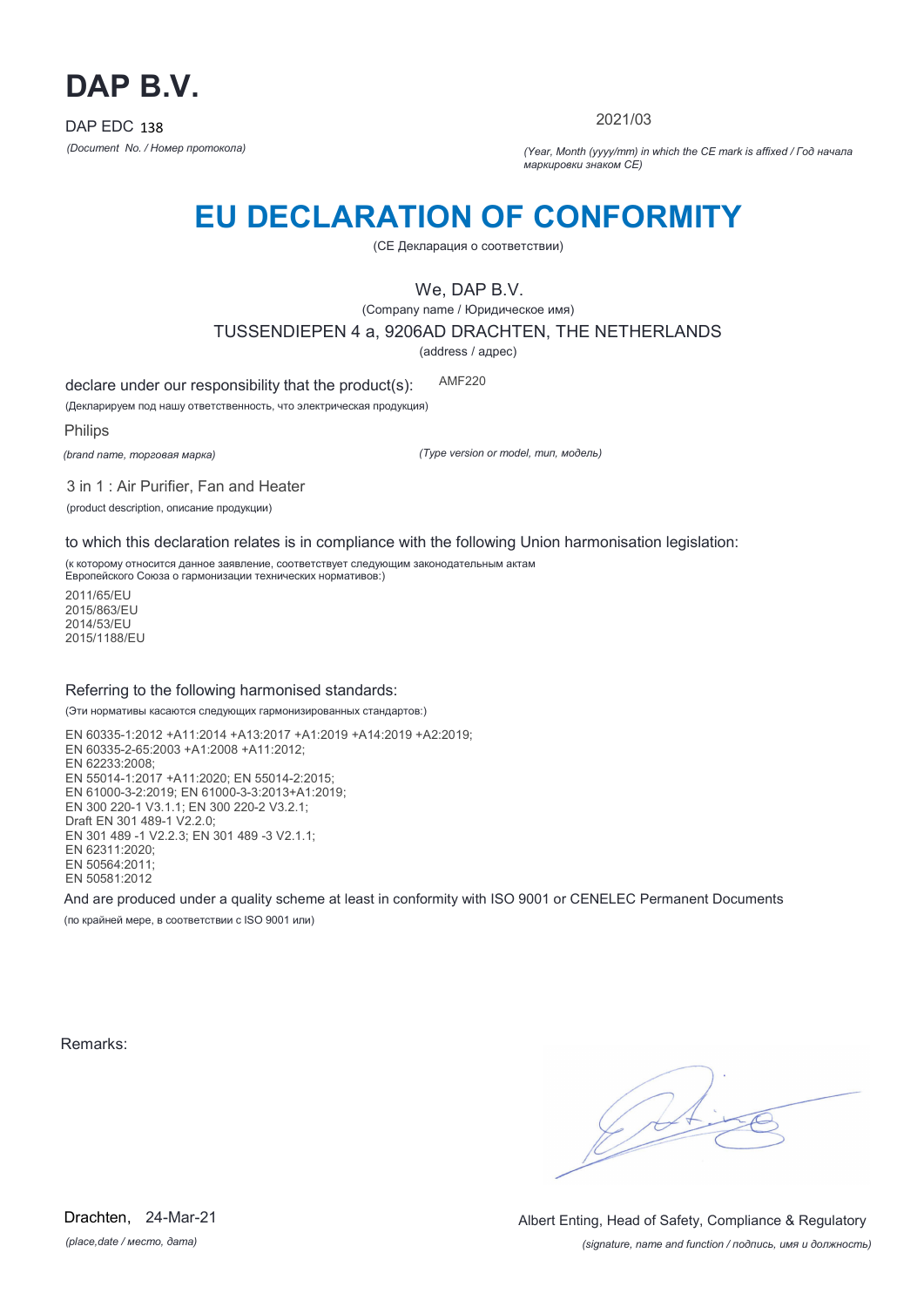

2021/03

*(Document No. / Номер протокола) (Year, Month (yyyy/mm) in which the CE mark is affixed / Год начала маркировки знаком CE)*

# **EU DECLARATION OF CONFORMITY**

(CE Декларация о соответствии)

We, DAP B.V.

(Company name / Юридическое имя)

TUSSENDIEPEN 4 a, 9206AD DRACHTEN, THE NETHERLANDS

(address / адрес)

declare under our responsibility that the product(s): AMF220

(Декларируем под нашу ответственность, что электрическая продукция)

Philips

*(brand name, торговая марка)*

*(Type version or model, тип, модель)*

3 in 1 : Air Purifier, Fan and Heater

(product description, описание продукции)

to which this declaration relates is in compliance with the following Union harmonisation legislation:

(к которому относится данное заявление, соответствует следующим законодательным актам Европейского Союза о гармонизации технических нормативов:)

2011/65/EU 2015/863/EU 2014/53/EU 2015/1188/EU

#### Referring to the following harmonised standards:

(Эти нормативы касаются следующих гармонизированных стандартов:)

EN 60335-1:2012 +A11:2014 +A13:2017 +A1:2019 +A14:2019 +A2:2019; EN 60335-2-65:2003 +A1:2008 +A11:2012; EN 62233:2008; EN 55014-1:2017 +A11:2020; EN 55014-2:2015; EN 61000-3-2:2019; EN 61000-3-3:2013+A1:2019; EN 300 220-1 V3.1.1; EN 300 220-2 V3.2.1; Draft EN 301 489-1 V2.2.0; EN 301 489 -1 V2.2.3; EN 301 489 -3 V2.1.1; EN 62311:2020; EN 50564:2011; EN 50581:2012

And are produced under a quality scheme at least in conformity with ISO 9001 or CENELEC Permanent Documents

(по крайней мере, в соответствии с ISO 9001 или)

Remarks:

 $\sqrt{11}$ 

*(signature, name and function / подпись, имя и должность)* Albert Enting, Head of Safety, Compliance & Regulatory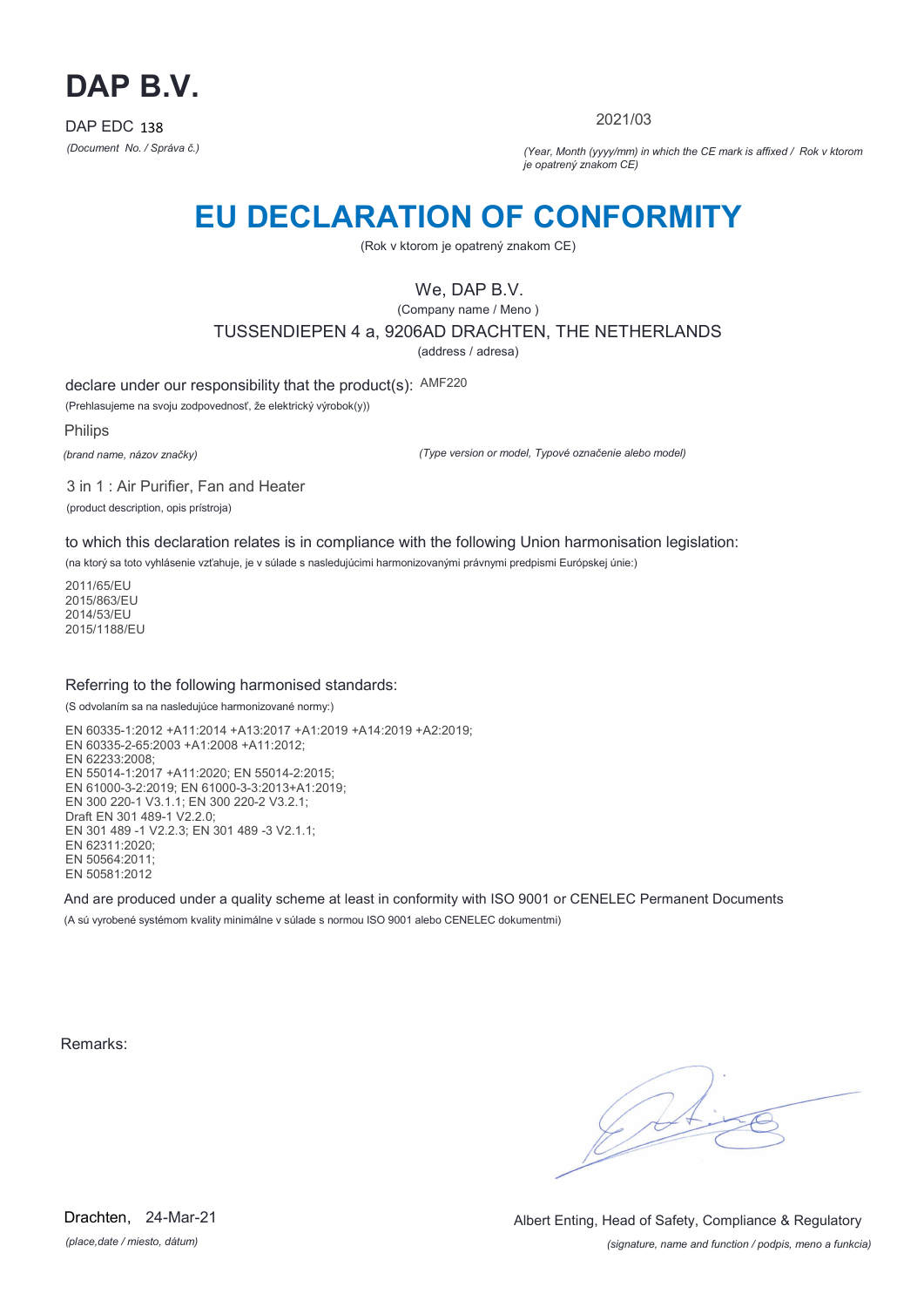

2021/03

*(Document No. / Správa č.) (Year, Month (yyyy/mm) in which the CE mark is affixed / Rok v ktorom je opatrený znakom CE)*

### **EU DECLARATION OF CONFORMITY**

(Rok v ktorom je opatrený znakom CE)

### We, DAP B.V.

(Company name / Meno ) TUSSENDIEPEN 4 a, 9206AD DRACHTEN, THE NETHERLANDS

(address / adresa)

declare under our responsibility that the product(s): AMF220

(Prehlasujeme na svoju zodpovednosť, že elektrický výrobok(y))

Philips

*(brand name, názov značky)*

*(Type version or model, Typové označenie alebo model)*

3 in 1 : Air Purifier, Fan and Heater (product description, opis prístroja)

to which this declaration relates is in compliance with the following Union harmonisation legislation:

(na ktorý sa toto vyhlásenie vzťahuje, je v súlade s nasledujúcimi harmonizovanými právnymi predpismi Európskej únie:)

2011/65/EU 2015/863/EU 2014/53/EU 2015/1188/EU

#### Referring to the following harmonised standards:

(S odvolaním sa na nasledujúce harmonizované normy:)

EN 60335-1:2012 +A11:2014 +A13:2017 +A1:2019 +A14:2019 +A2:2019; EN 60335-2-65:2003 +A1:2008 +A11:2012; EN 62233:2008; EN 55014-1:2017 +A11:2020; EN 55014-2:2015; EN 61000-3-2:2019; EN 61000-3-3:2013+A1:2019; EN 300 220-1 V3.1.1; EN 300 220-2 V3.2.1; Draft EN 301 489-1 V2.2.0; EN 301 489 -1 V2.2.3; EN 301 489 -3 V2.1.1; EN 62311:2020; EN 50564:2011; EN 50581:2012

And are produced under a quality scheme at least in conformity with ISO 9001 or CENELEC Permanent Documents (A sú vyrobené systémom kvality minimálne v súlade s normou ISO 9001 alebo CENELEC dokumentmi)

Remarks:

 $\sqrt{11}$ 

*(place,date / miesto, dátum)* Drachten, 24-Mar-21

*(signature, name and function / podpis, meno a funkcia)* Albert Enting, Head of Safety, Compliance & Regulatory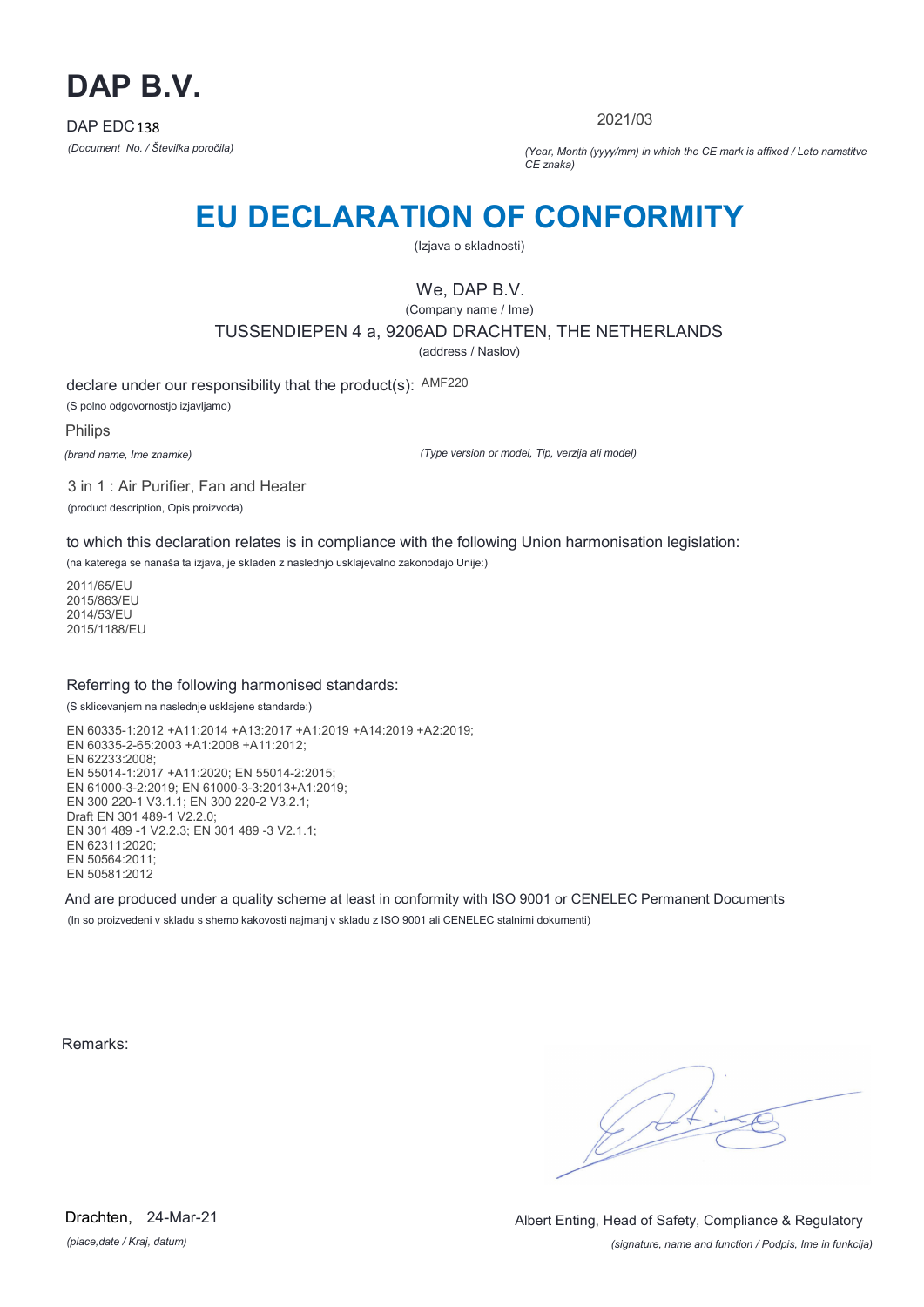

2021/03

*(Document No. / Številka poročila) (Year, Month (yyyy/mm) in which the CE mark is affixed / Leto namstitve CE znaka)*

# **EU DECLARATION OF CONFORMITY**

(Izjava o skladnosti)

### We, DAP B.V.

(Company name / Ime) TUSSENDIEPEN 4 a, 9206AD DRACHTEN, THE NETHERLANDS

(address / Naslov)

declare under our responsibility that the product(s): AMF220 (S polno odgovornostjo izjavljamo)

Philips

*(brand name, Ime znamke)*

*(Type version or model, Tip, verzija ali model)*

3 in 1 : Air Purifier, Fan and Heater (product description, Opis proizvoda)

to which this declaration relates is in compliance with the following Union harmonisation legislation:

(na katerega se nanaša ta izjava, je skladen z naslednjo usklajevalno zakonodajo Unije:)

2011/65/EU 2015/863/EU 2014/53/EU 2015/1188/EU

### Referring to the following harmonised standards:

(S sklicevanjem na naslednje usklajene standarde:)

EN 60335-1:2012 +A11:2014 +A13:2017 +A1:2019 +A14:2019 +A2:2019; EN 60335-2-65:2003 +A1:2008 +A11:2012; EN 62233:2008; EN 55014-1:2017 +A11:2020; EN 55014-2:2015; EN 61000-3-2:2019; EN 61000-3-3:2013+A1:2019; EN 300 220-1 V3.1.1; EN 300 220-2 V3.2.1; Draft EN 301 489-1 V2.2.0; EN 301 489 -1 V2.2.3; EN 301 489 -3 V2.1.1; EN 62311:2020; EN 50564:2011; EN 50581:2012

And are produced under a quality scheme at least in conformity with ISO 9001 or CENELEC Permanent Documents (In so proizvedeni v skladu s shemo kakovosti najmanj v skladu z ISO 9001 ali CENELEC stalnimi dokumenti)

Remarks:

*(place,date / Kraj, datum)* Drachten, 24-Mar-21

*(signature, name and function / Podpis, Ime in funkcija)* Albert Enting, Head of Safety, Compliance & Regulatory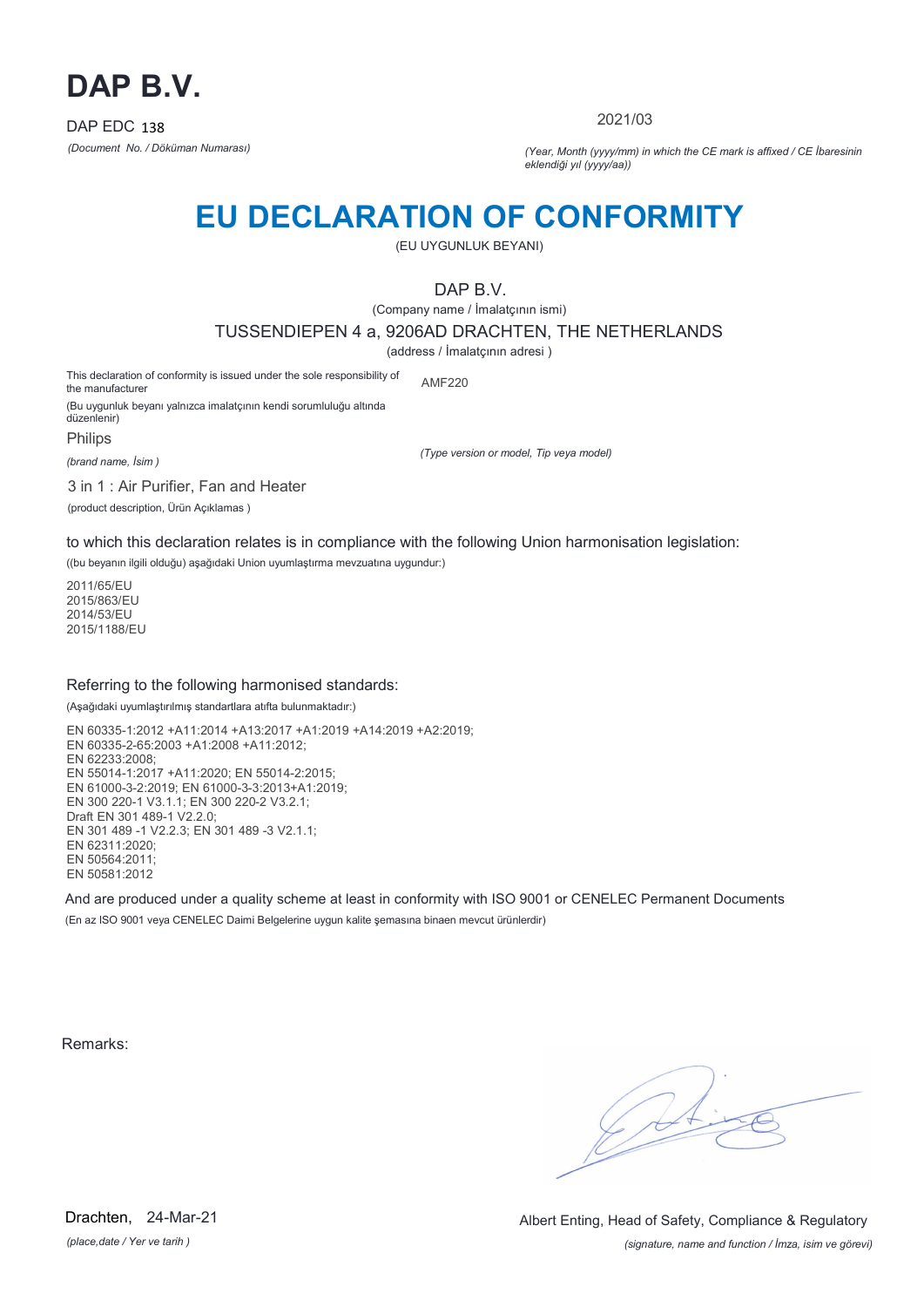

2021/03

*(Document No. / Döküman Numarası) (Year, Month (yyyy/mm) in which the CE mark is affixed / CE İbaresinin eklendiği yıl (yyyy/aa))*

### **EU DECLARATION OF CONFORMITY**

(EU UYGUNLUK BEYANI)

DAP B.V.

(Company name / İmalatçının ismi)

TUSSENDIEPEN 4 a, 9206AD DRACHTEN, THE NETHERLANDS

(address / İmalatçının adresi )

This declaration of conformity is issued under the sole responsibility of the manufacturer (Bu uygunluk beyanı yalnızca imalatçının kendi sorumluluğu altında AMF220

düzenlenir) Philips

*(brand name, İsim )*

*(Type version or model, Tip veya model)*

3 in 1 : Air Purifier, Fan and Heater

(product description, Ürün Açıklamas )

to which this declaration relates is in compliance with the following Union harmonisation legislation:

((bu beyanın ilgili olduğu) aşağıdaki Union uyumlaştırma mevzuatına uygundur:)

2011/65/EU 2015/863/EU 2014/53/EU 2015/1188/EU

#### Referring to the following harmonised standards:

(Aşağıdaki uyumlaştırılmış standartlara atıfta bulunmaktadır:)

EN 60335-1:2012 +A11:2014 +A13:2017 +A1:2019 +A14:2019 +A2:2019; EN 60335-2-65:2003 +A1:2008 +A11:2012; EN 62233:2008; EN 55014-1:2017 +A11:2020; EN 55014-2:2015; EN 61000-3-2:2019; EN 61000-3-3:2013+A1:2019; EN 300 220-1 V3.1.1; EN 300 220-2 V3.2.1; Draft EN 301 489-1 V2.2.0; EN 301 489 -1 V2.2.3; EN 301 489 -3 V2.1.1; EN 62311:2020; EN 50564:2011; EN 50581:2012

And are produced under a quality scheme at least in conformity with ISO 9001 or CENELEC Permanent Documents (En az ISO 9001 veya CENELEC Daimi Belgelerine uygun kalite şemasına binaen mevcut ürünlerdir)

Remarks:

*(place,date / Yer ve tarih )* Drachten, 24-Mar-21

*(signature, name and function / İmza, isim ve görevi)* Albert Enting, Head of Safety, Compliance & Regulatory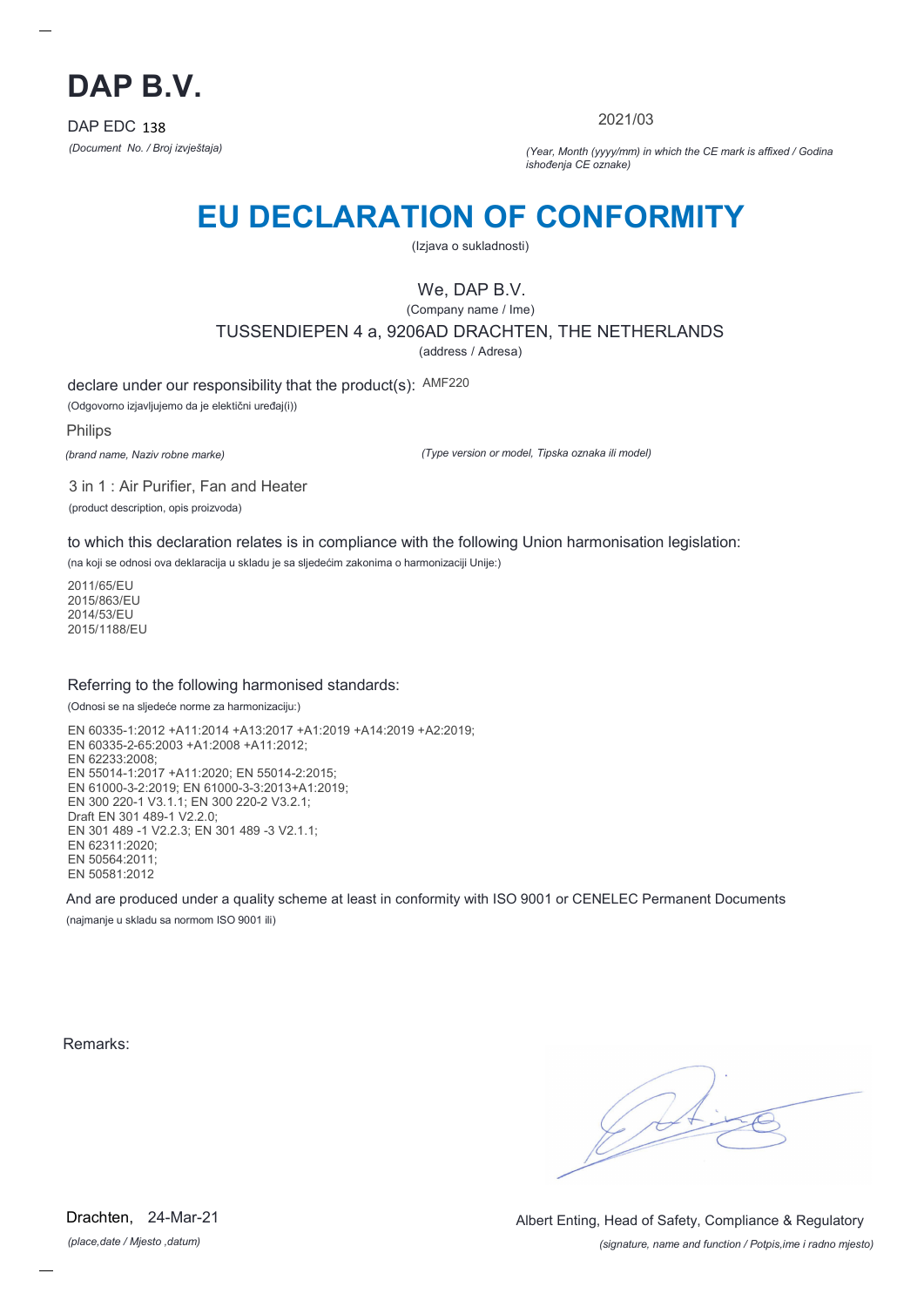

2021/03

*(Document No. / Broj izvještaja) (Year, Month (yyyy/mm) in which the CE mark is affixed / Godina ishođenja CE oznake)*

# **EU DECLARATION OF CONFORMITY**

(Izjava o sukladnosti)

We, DAP B.V.

(Company name / Ime) TUSSENDIEPEN 4 a, 9206AD DRACHTEN, THE NETHERLANDS (address / Adresa)

declare under our responsibility that the product(s): AMF220

(Odgovorno izjavljujemo da je elektični uređaj(i))

Philips

*(brand name, Naziv robne marke)*

*(Type version or model, Tipska oznaka ili model)*

3 in 1 : Air Purifier, Fan and Heater (product description, opis proizvoda)

to which this declaration relates is in compliance with the following Union harmonisation legislation:

(na koji se odnosi ova deklaracija u skladu je sa sljedećim zakonima o harmonizaciji Unije:)

2011/65/EU 2015/863/EU 2014/53/EU 2015/1188/EU

### Referring to the following harmonised standards:

(Odnosi se na sljedeće norme za harmonizaciju:)

EN 60335-1:2012 +A11:2014 +A13:2017 +A1:2019 +A14:2019 +A2:2019; EN 60335-2-65:2003 +A1:2008 +A11:2012; EN 62233:2008; EN 55014-1:2017 +A11:2020; EN 55014-2:2015; EN 61000-3-2:2019; EN 61000-3-3:2013+A1:2019; EN 300 220-1 V3.1.1; EN 300 220-2 V3.2.1; Draft EN 301 489-1 V2.2.0; EN 301 489 -1 V2.2.3; EN 301 489 -3 V2.1.1; EN 62311:2020; EN 50564:2011; EN 50581:2012

And are produced under a quality scheme at least in conformity with ISO 9001 or CENELEC Permanent Documents (najmanje u skladu sa normom ISO 9001 ili)

Remarks:

*(place,date / Mjesto ,datum)* Drachten, 24-Mar-21

*(signature, name and function / Potpis,ime i radno mjesto)* Albert Enting, Head of Safety, Compliance & Regulatory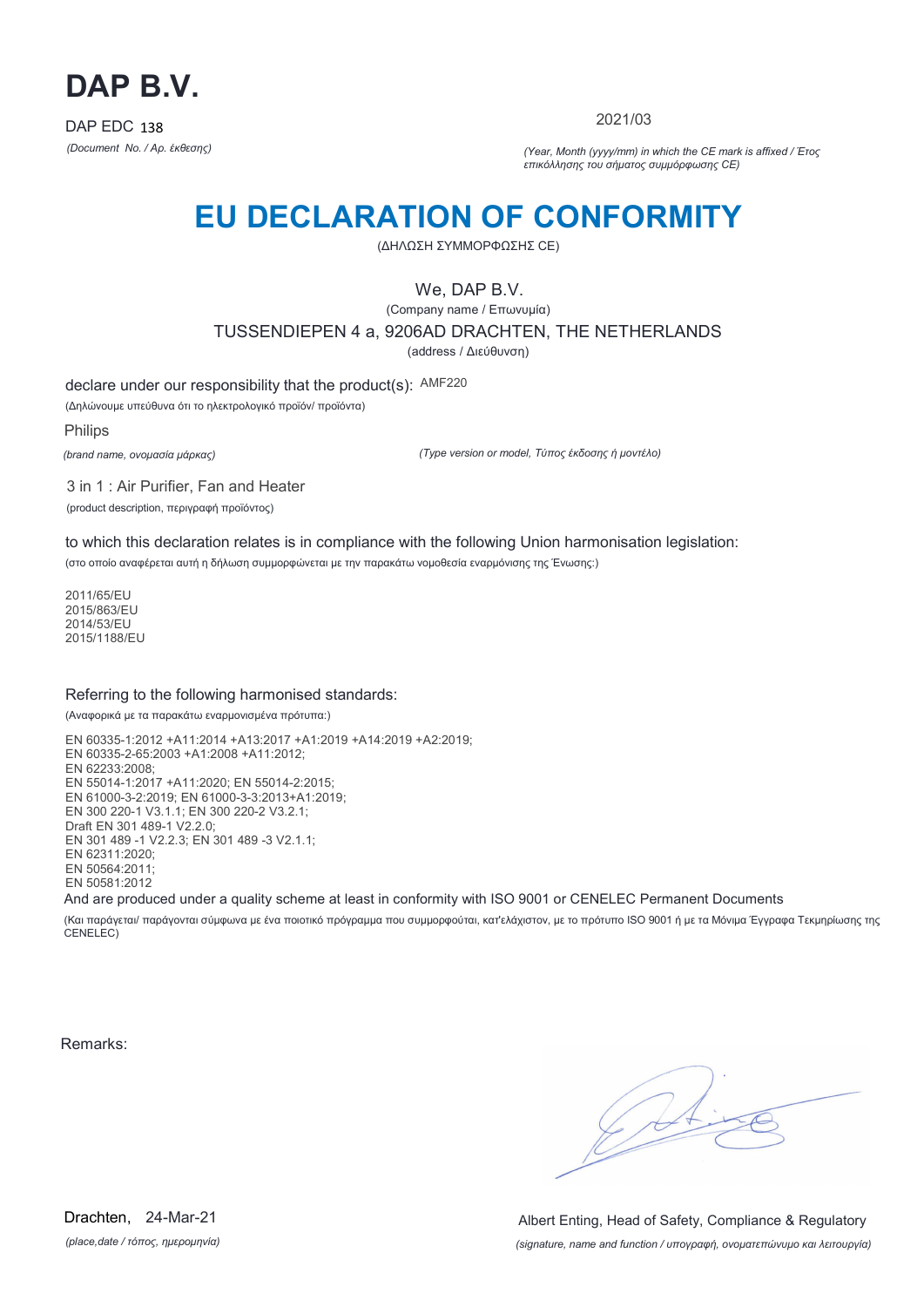

2021/03

*(Document No. / Αρ. έκθεσης) (Year, Month (yyyy/mm) in which the CE mark is affixed / Έτος επικόλλησης του σήματος συμμόρφωσης CE)*

### **EU DECLARATION OF CONFORMITY**

(ΔΗΛΩΣΗ ΣΥΜΜΟΡΦΩΣΗΣ CE)

We, DAP B.V.

(Company name / Επωνυμία) TUSSENDIEPEN 4 a, 9206AD DRACHTEN, THE NETHERLANDS (address / Διεύθυνση)

declare under our responsibility that the product(s): AMF220

(Δηλώνουμε υπεύθυνα ότι το ηλεκτρολογικό προϊόν/ προϊόντα)

Philips

*(brand name, ονομασία μάρκας)*

*(Type version or model, Τύπος έκδοσης ή μοντέλο)*

3 in 1 : Air Purifier, Fan and Heater (product description, περιγραφή προϊόντος)

to which this declaration relates is in compliance with the following Union harmonisation legislation:

(στο οποίο αναφέρεται αυτή η δήλωση συμμορφώνεται με την παρακάτω νομοθεσία εναρμόνισης της Ένωσης:)

2011/65/EU 2015/863/EU 2014/53/EU 2015/1188/EU

#### Referring to the following harmonised standards:

(Αναφορικά με τα παρακάτω εναρμονισμένα πρότυπα:)

EN 60335-1:2012 +A11:2014 +A13:2017 +A1:2019 +A14:2019 +A2:2019; EN 60335-2-65:2003 +A1:2008 +A11:2012; EN 62233:2008; EN 55014-1:2017 +A11:2020; EN 55014-2:2015; EN 61000-3-2:2019; EN 61000-3-3:2013+A1:2019; EN 300 220-1 V3.1.1; EN 300 220-2 V3.2.1; Draft EN 301 489-1 V2.2.0; EN 301 489 -1 V2.2.3; EN 301 489 -3 V2.1.1; EN 62311:2020; EN 50564:2011; EN 50581:2012

And are produced under a quality scheme at least in conformity with ISO 9001 or CENELEC Permanent Documents

(Και παράγεται/ παράγονται σύμφωνα με ένα ποιοτικό πρόγραμμα που συμμορφούται, κατ'ελάχιστον, με το πρότυπο ISO 9001 ή με τα Μόνιμα Έγγραφα Τεκμηρίωσης της CENELEC)

Remarks:

*(place,date / τόπος, ημερομηνία)* Drachten, 24-Mar-21

*(signature, name and function / υπογραφή, ονοματεπώνυμο και λειτουργία)* Albert Enting, Head of Safety, Compliance & Regulatory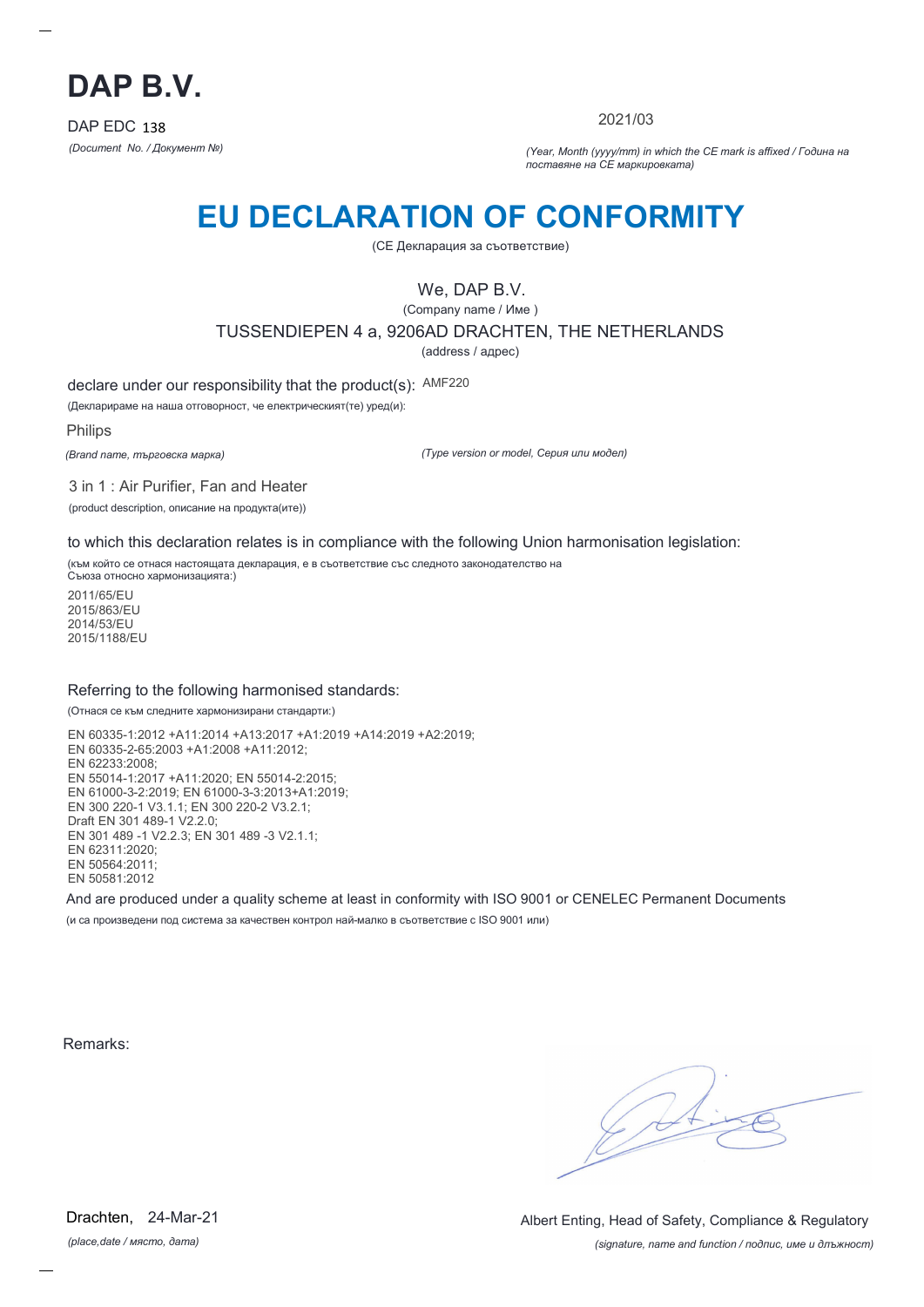

2021/03

*(Document No. / Документ №) (Year, Month (yyyy/mm) in which the CE mark is affixed / Година на поставяне на CE маркировката)*

### **EU DECLARATION OF CONFORMITY**

(CE Декларация за съответствие)

We, DAP B.V.

(Company name / Име )

TUSSENDIEPEN 4 a, 9206AD DRACHTEN, THE NETHERLANDS

(address / адрес)

declare under our responsibility that the product(s): AMF220

(Декларираме на наша отговорност, че електрическият(те) уред(и):

Philips

*(Brand name, търговска марка)*

*(Type version or model, Серия или модел)*

3 in 1 : Air Purifier, Fan and Heater (product description, описание на продукта(ите))

to which this declaration relates is in compliance with the following Union harmonisation legislation:

(към който се отнася настоящата декларация, е в съответствие със следното законодателство на Съюза относно хармонизацията:)

2011/65/EU 2015/863/EU 2014/53/EU 2015/1188/EU

#### Referring to the following harmonised standards:

(Отнася се към следните хармонизирани стандарти:)

EN 60335-1:2012 +A11:2014 +A13:2017 +A1:2019 +A14:2019 +A2:2019; EN 60335-2-65:2003 +A1:2008 +A11:2012; EN 62233:2008; EN 55014-1:2017 +A11:2020; EN 55014-2:2015; EN 61000-3-2:2019; EN 61000-3-3:2013+A1:2019; EN 300 220-1 V3.1.1; EN 300 220-2 V3.2.1; Draft EN 301 489-1 V2.2.0; EN 301 489 -1 V2.2.3; EN 301 489 -3 V2.1.1; EN 62311:2020; EN 50564:2011; EN 50581:2012

And are produced under a quality scheme at least in conformity with ISO 9001 or CENELEC Permanent Documents (и са произведени под система за качествен контрол най-малко в съответствие с ISO 9001 или)

Remarks:

*(place,date / място, дата)* Drachten, 24-Mar-21

*(signature, name and function / подпис, име и длъжност)* Albert Enting, Head of Safety, Compliance & Regulatory